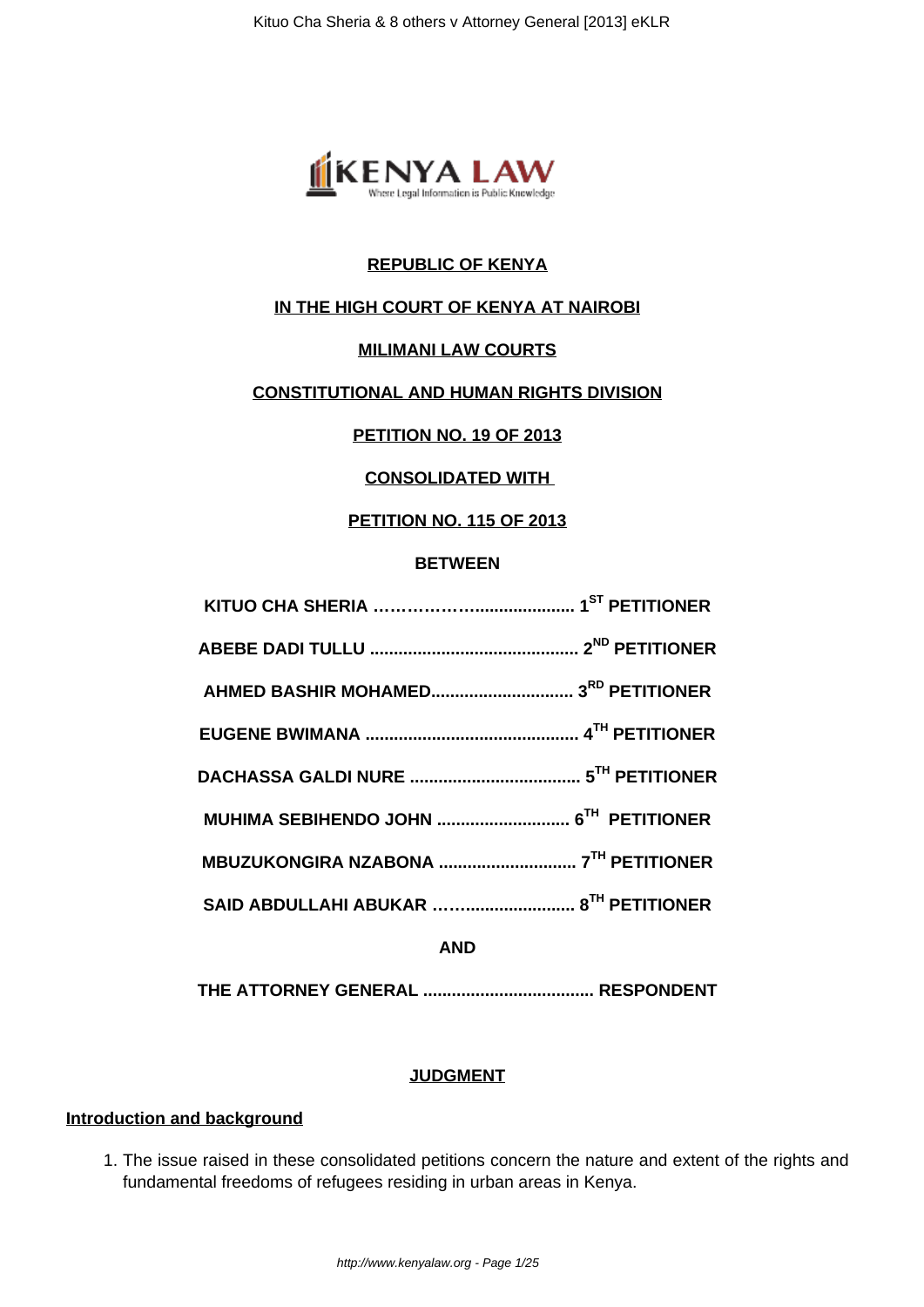

## **REPUBLIC OF KENYA**

## **IN THE HIGH COURT OF KENYA AT NAIROBI**

### **MILIMANI LAW COURTS**

## **CONSTITUTIONAL AND HUMAN RIGHTS DIVISION**

### **PETITION NO. 19 OF 2013**

### **CONSOLIDATED WITH**

## **PETITION NO. 115 OF 2013**

#### **BETWEEN**

**AND**

**THE ATTORNEY GENERAL .................................... RESPONDENT**

#### **JUDGMENT**

### **Introduction and background**

1. The issue raised in these consolidated petitions concern the nature and extent of the rights and fundamental freedoms of refugees residing in urban areas in Kenya.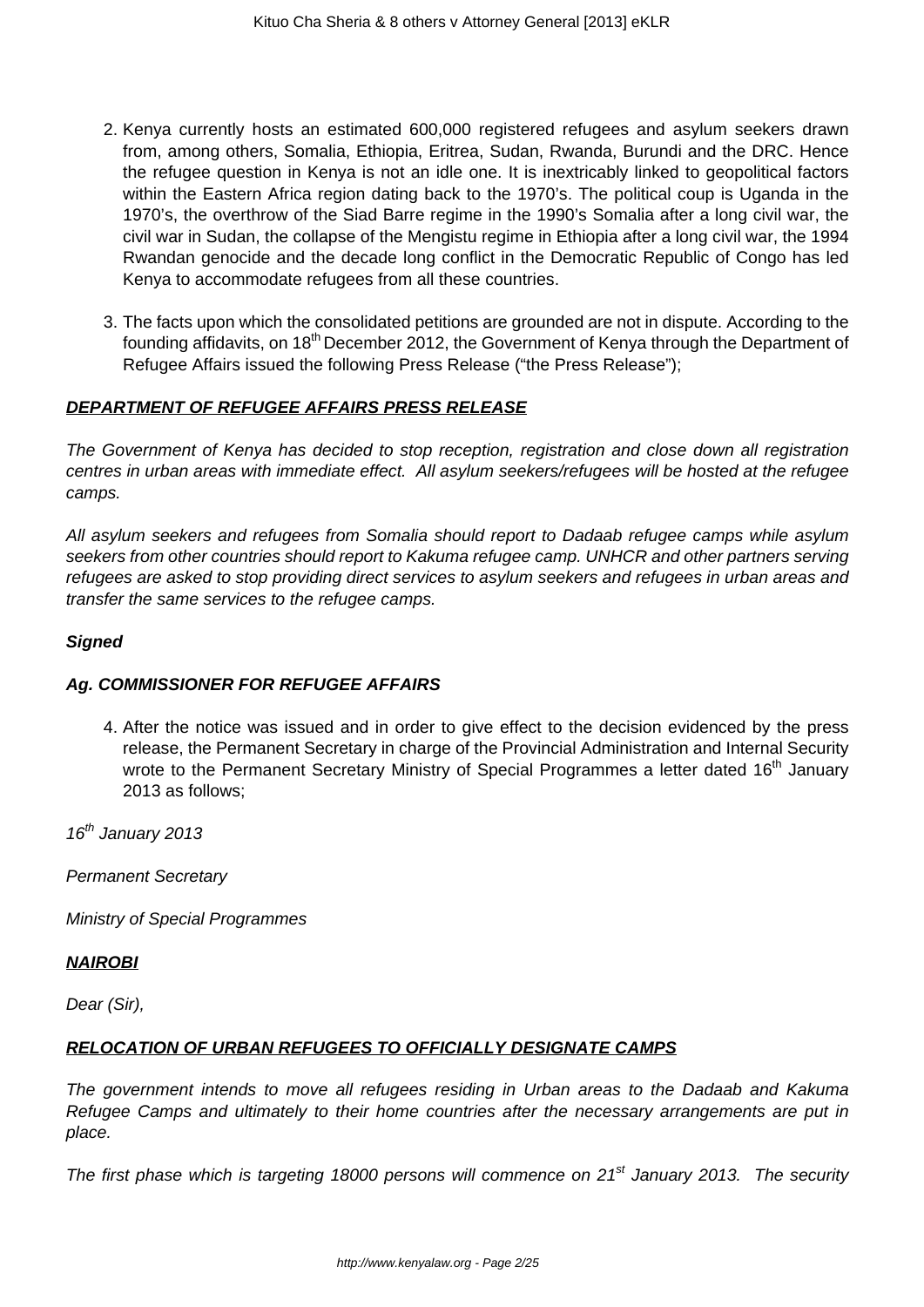- 2. Kenya currently hosts an estimated 600,000 registered refugees and asylum seekers drawn from, among others, Somalia, Ethiopia, Eritrea, Sudan, Rwanda, Burundi and the DRC. Hence the refugee question in Kenya is not an idle one. It is inextricably linked to geopolitical factors within the Eastern Africa region dating back to the 1970's. The political coup is Uganda in the 1970's, the overthrow of the Siad Barre regime in the 1990's Somalia after a long civil war, the civil war in Sudan, the collapse of the Mengistu regime in Ethiopia after a long civil war, the 1994 Rwandan genocide and the decade long conflict in the Democratic Republic of Congo has led Kenya to accommodate refugees from all these countries.
- 3. The facts upon which the consolidated petitions are grounded are not in dispute. According to the founding affidavits, on 18<sup>th</sup> December 2012, the Government of Kenya through the Department of Refugee Affairs issued the following Press Release ("the Press Release");

## **DEPARTMENT OF REFUGEE AFFAIRS PRESS RELEASE**

The Government of Kenya has decided to stop reception, registration and close down all registration centres in urban areas with immediate effect. All asylum seekers/refugees will be hosted at the refugee camps.

All asylum seekers and refugees from Somalia should report to Dadaab refugee camps while asylum seekers from other countries should report to Kakuma refugee camp. UNHCR and other partners serving refugees are asked to stop providing direct services to asylum seekers and refugees in urban areas and transfer the same services to the refugee camps.

### **Signed**

### **Ag. COMMISSIONER FOR REFUGEE AFFAIRS**

4. After the notice was issued and in order to give effect to the decision evidenced by the press release, the Permanent Secretary in charge of the Provincial Administration and Internal Security wrote to the Permanent Secretary Ministry of Special Programmes a letter dated 16<sup>th</sup> January 2013 as follows;

 $16^{th}$  January 2013

Permanent Secretary

Ministry of Special Programmes

### **NAIROBI**

Dear (Sir),

### **RELOCATION OF URBAN REFUGEES TO OFFICIALLY DESIGNATE CAMPS**

The government intends to move all refugees residing in Urban areas to the Dadaab and Kakuma Refugee Camps and ultimately to their home countries after the necessary arrangements are put in place.

The first phase which is targeting 18000 persons will commence on  $21<sup>st</sup>$  January 2013. The security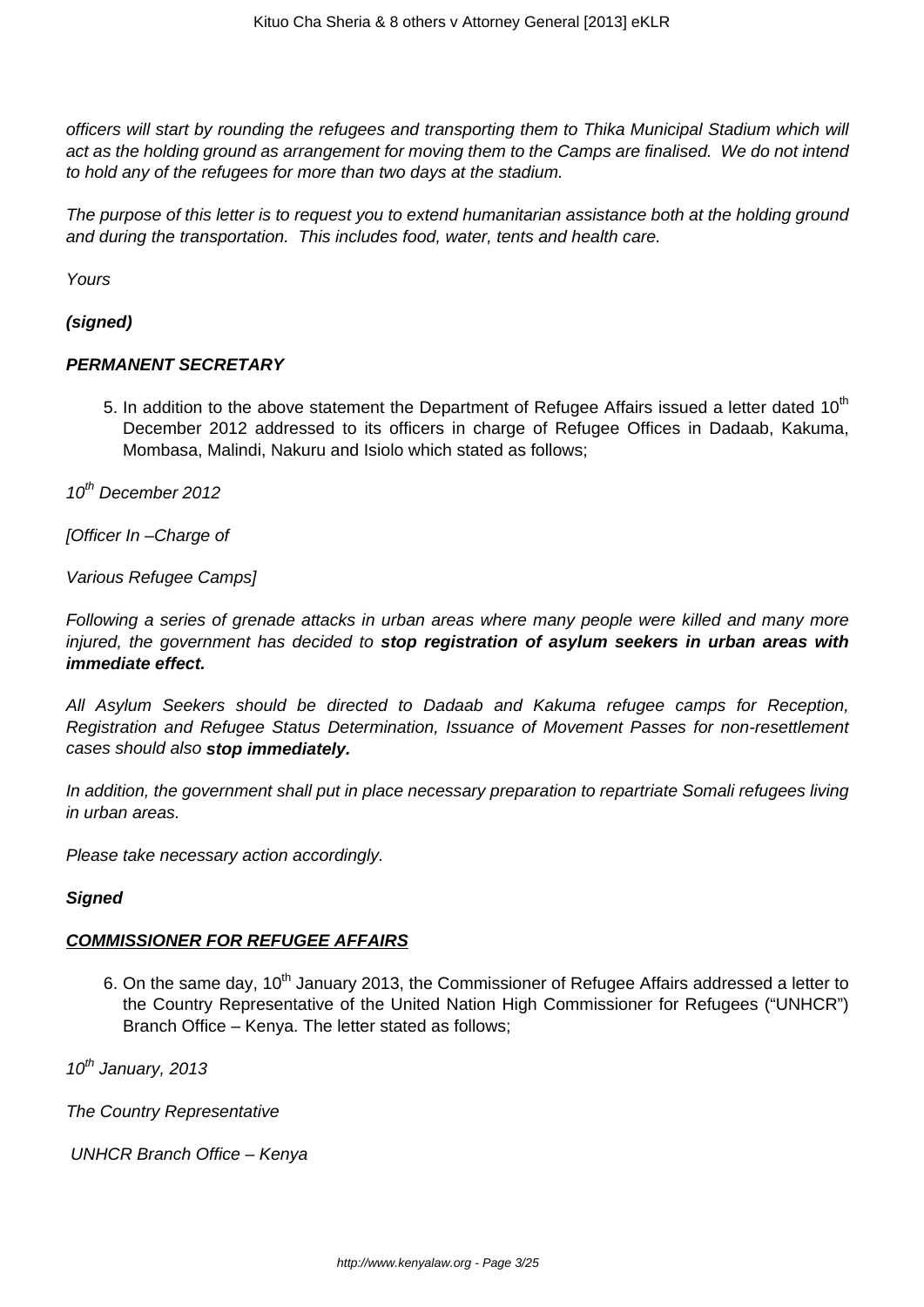officers will start by rounding the refugees and transporting them to Thika Municipal Stadium which will act as the holding ground as arrangement for moving them to the Camps are finalised. We do not intend to hold any of the refugees for more than two days at the stadium.

The purpose of this letter is to request you to extend humanitarian assistance both at the holding ground and during the transportation. This includes food, water, tents and health care.

Yours

### **(signed)**

### **PERMANENT SECRETARY**

5. In addition to the above statement the Department of Refugee Affairs issued a letter dated  $10<sup>th</sup>$ December 2012 addressed to its officers in charge of Refugee Offices in Dadaab, Kakuma, Mombasa, Malindi, Nakuru and Isiolo which stated as follows;

10<sup>th</sup> December 2012

[Officer In –Charge of

Various Refugee Camps]

Following a series of grenade attacks in urban areas where many people were killed and many more injured, the government has decided to **stop registration of asylum seekers in urban areas with immediate effect.**

All Asylum Seekers should be directed to Dadaab and Kakuma refugee camps for Reception, Registration and Refugee Status Determination, Issuance of Movement Passes for non-resettlement cases should also **stop immediately.**

In addition, the government shall put in place necessary preparation to repartriate Somali refugees living in urban areas.

Please take necessary action accordingly.

### **Signed**

### **COMMISSIONER FOR REFUGEE AFFAIRS**

6. On the same day, 10<sup>th</sup> January 2013, the Commissioner of Refugee Affairs addressed a letter to the Country Representative of the United Nation High Commissioner for Refugees ("UNHCR") Branch Office – Kenya. The letter stated as follows;

 $10^{th}$  January, 2013

The Country Representative

UNHCR Branch Office – Kenya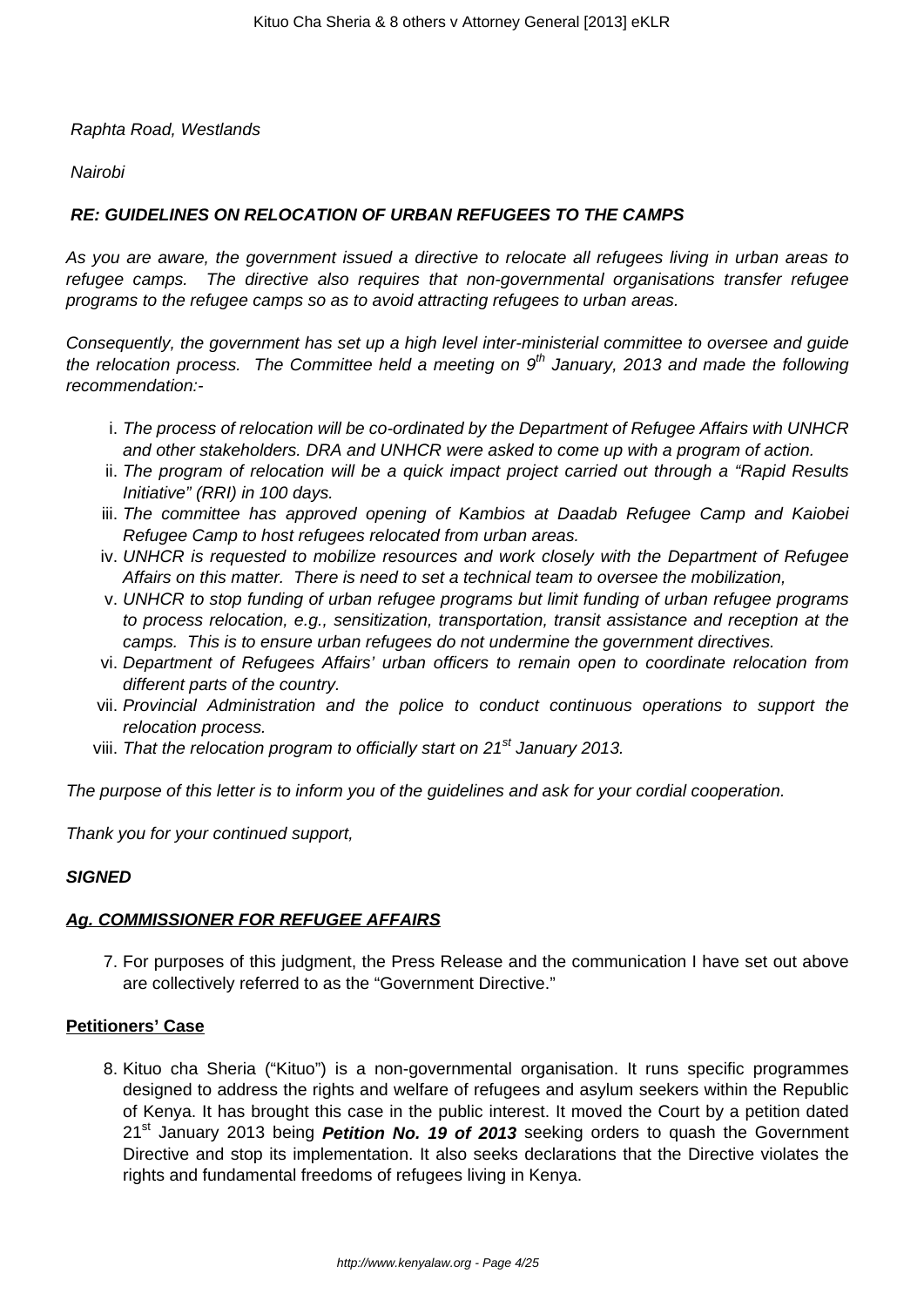### Raphta Road, Westlands

### **Nairobi**

### **RE: GUIDELINES ON RELOCATION OF URBAN REFUGEES TO THE CAMPS**

As you are aware, the government issued a directive to relocate all refugees living in urban areas to refugee camps. The directive also requires that non-governmental organisations transfer refugee programs to the refugee camps so as to avoid attracting refugees to urban areas.

Consequently, the government has set up a high level inter-ministerial committee to oversee and guide the relocation process. The Committee held a meeting on  $9<sup>th</sup>$  January, 2013 and made the following recommendation:-

- i. The process of relocation will be co-ordinated by the Department of Refugee Affairs with UNHCR and other stakeholders. DRA and UNHCR were asked to come up with a program of action.
- ii. The program of relocation will be a quick impact project carried out through a "Rapid Results Initiative" (RRI) in 100 days.
- iii. The committee has approved opening of Kambios at Daadab Refugee Camp and Kaiobei Refugee Camp to host refugees relocated from urban areas.
- iv. UNHCR is requested to mobilize resources and work closely with the Department of Refugee Affairs on this matter. There is need to set a technical team to oversee the mobilization,
- v. UNHCR to stop funding of urban refugee programs but limit funding of urban refugee programs to process relocation, e.g., sensitization, transportation, transit assistance and reception at the camps. This is to ensure urban refugees do not undermine the government directives.
- vi. Department of Refugees Affairs' urban officers to remain open to coordinate relocation from different parts of the country.
- vii. Provincial Administration and the police to conduct continuous operations to support the relocation process.
- viii. That the relocation program to officially start on  $21<sup>st</sup>$  January 2013.

The purpose of this letter is to inform you of the guidelines and ask for your cordial cooperation.

Thank you for your continued support,

### **SIGNED**

### **Ag. COMMISSIONER FOR REFUGEE AFFAIRS**

7. For purposes of this judgment, the Press Release and the communication I have set out above are collectively referred to as the "Government Directive."

#### **Petitioners' Case**

8. Kituo cha Sheria ("Kituo") is a non-governmental organisation. It runs specific programmes designed to address the rights and welfare of refugees and asylum seekers within the Republic of Kenya. It has brought this case in the public interest. It moved the Court by a petition dated 21st January 2013 being **Petition No. 19 of 2013** seeking orders to quash the Government Directive and stop its implementation. It also seeks declarations that the Directive violates the rights and fundamental freedoms of refugees living in Kenya.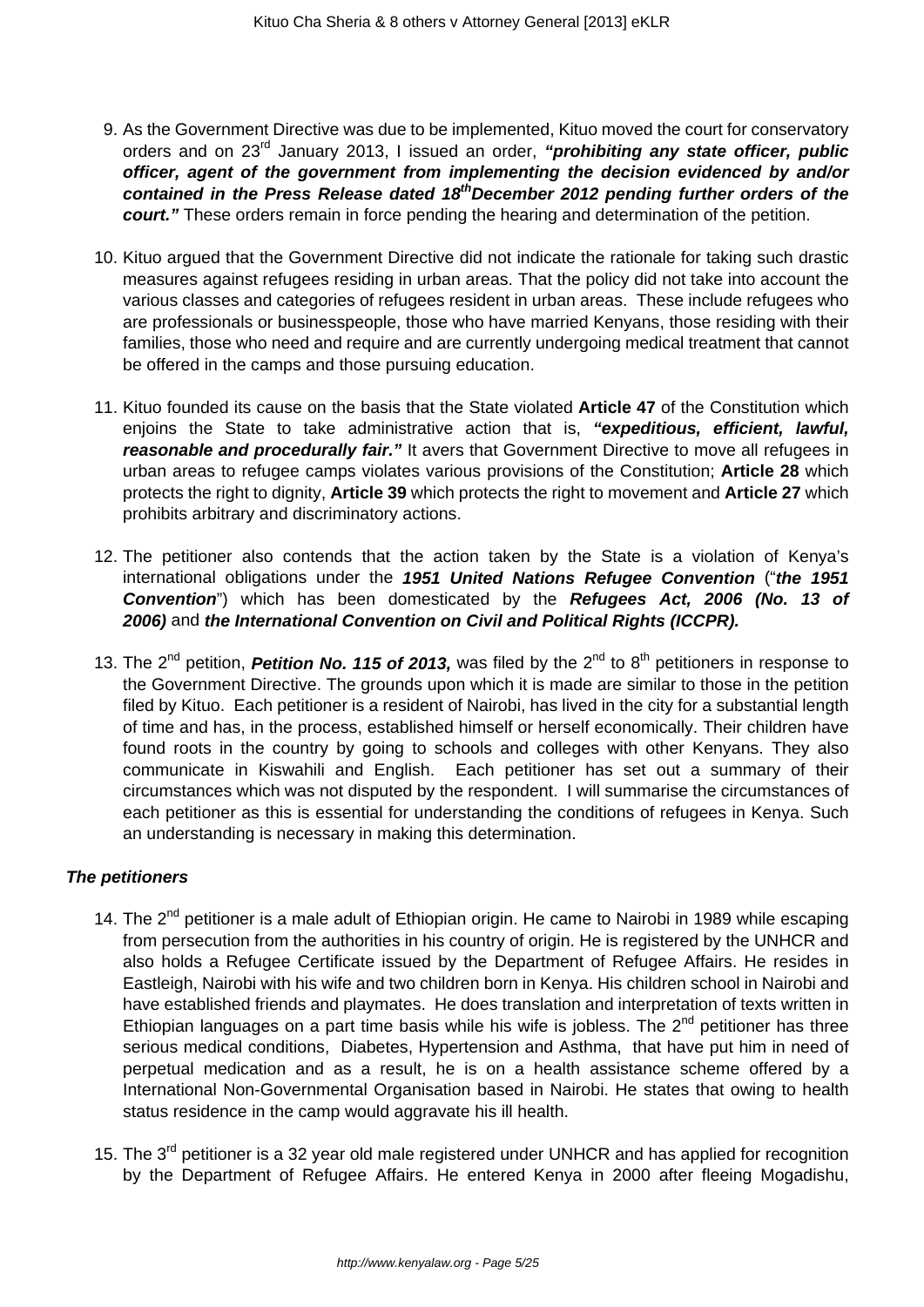- 9. As the Government Directive was due to be implemented, Kituo moved the court for conservatory orders and on 23rd January 2013, I issued an order, **"prohibiting any state officer, public officer, agent of the government from implementing the decision evidenced by and/or contained in the Press Release dated 18thDecember 2012 pending further orders of the court."** These orders remain in force pending the hearing and determination of the petition.
- 10. Kituo argued that the Government Directive did not indicate the rationale for taking such drastic measures against refugees residing in urban areas. That the policy did not take into account the various classes and categories of refugees resident in urban areas. These include refugees who are professionals or businesspeople, those who have married Kenyans, those residing with their families, those who need and require and are currently undergoing medical treatment that cannot be offered in the camps and those pursuing education.
- 11. Kituo founded its cause on the basis that the State violated **Article 47** of the Constitution which enjoins the State to take administrative action that is, **"expeditious, efficient, lawful, reasonable and procedurally fair."** It avers that Government Directive to move all refugees in urban areas to refugee camps violates various provisions of the Constitution; **Article 28** which protects the right to dignity, **Article 39** which protects the right to movement and **Article 27** which prohibits arbitrary and discriminatory actions.
- 12. The petitioner also contends that the action taken by the State is a violation of Kenya's international obligations under the **1951 United Nations Refugee Convention** ("**the 1951 Convention**") which has been domesticated by the **Refugees Act, 2006 (No. 13 of 2006)** and **the International Convention on Civil and Political Rights (ICCPR).**
- 13. The 2<sup>nd</sup> petition, **Petition No. 115 of 2013,** was filed by the 2<sup>nd</sup> to 8<sup>th</sup> petitioners in response to the Government Directive. The grounds upon which it is made are similar to those in the petition filed by Kituo. Each petitioner is a resident of Nairobi, has lived in the city for a substantial length of time and has, in the process, established himself or herself economically. Their children have found roots in the country by going to schools and colleges with other Kenyans. They also communicate in Kiswahili and English. Each petitioner has set out a summary of their circumstances which was not disputed by the respondent. I will summarise the circumstances of each petitioner as this is essential for understanding the conditions of refugees in Kenya. Such an understanding is necessary in making this determination.

### **The petitioners**

- 14. The  $2^{nd}$  petitioner is a male adult of Ethiopian origin. He came to Nairobi in 1989 while escaping from persecution from the authorities in his country of origin. He is registered by the UNHCR and also holds a Refugee Certificate issued by the Department of Refugee Affairs. He resides in Eastleigh, Nairobi with his wife and two children born in Kenya. His children school in Nairobi and have established friends and playmates. He does translation and interpretation of texts written in Ethiopian languages on a part time basis while his wife is jobless. The  $2^{nd}$  petitioner has three serious medical conditions, Diabetes, Hypertension and Asthma, that have put him in need of perpetual medication and as a result, he is on a health assistance scheme offered by a International Non-Governmental Organisation based in Nairobi. He states that owing to health status residence in the camp would aggravate his ill health.
- 15. The 3<sup>rd</sup> petitioner is a 32 year old male registered under UNHCR and has applied for recognition by the Department of Refugee Affairs. He entered Kenya in 2000 after fleeing Mogadishu,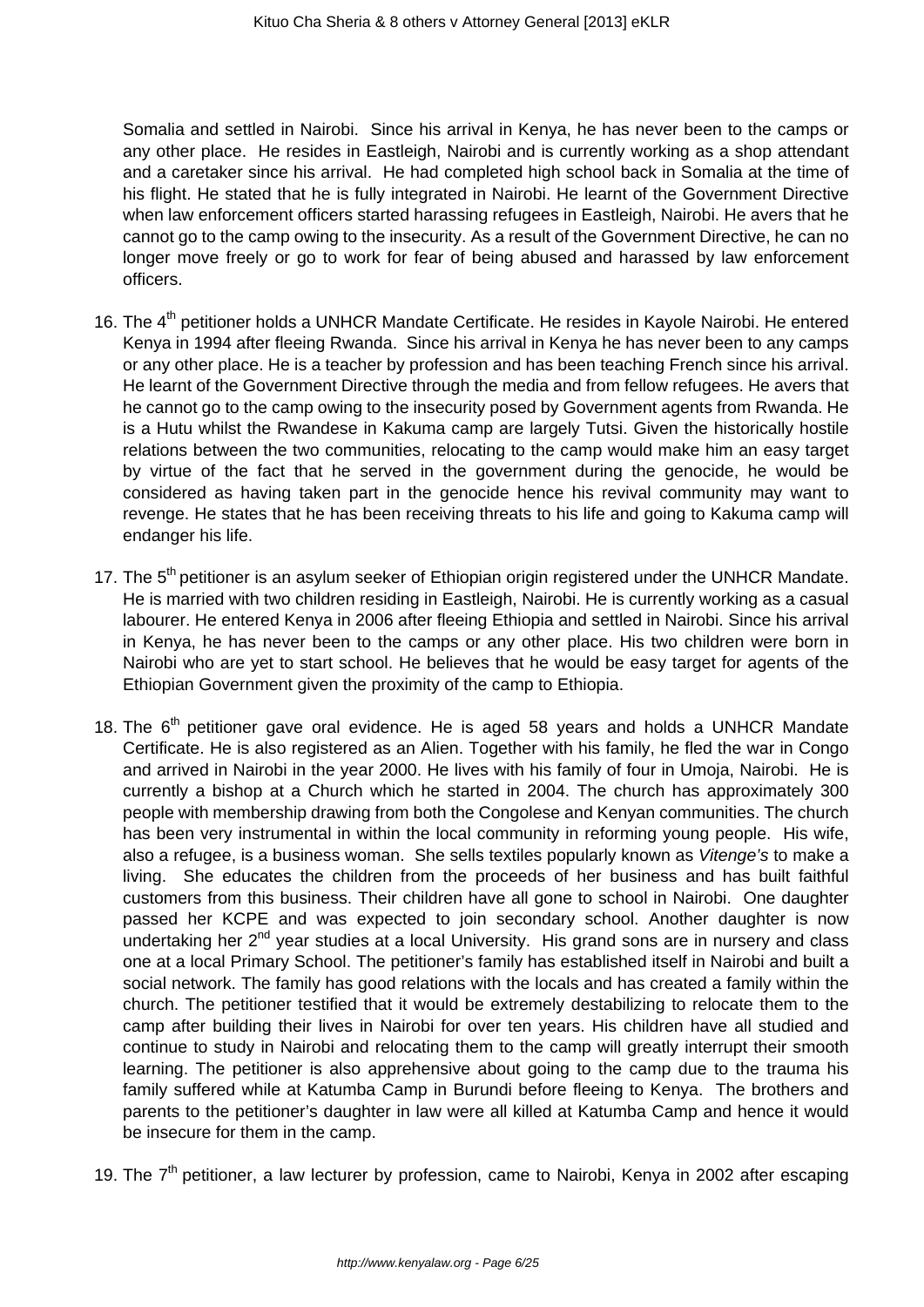Somalia and settled in Nairobi. Since his arrival in Kenya, he has never been to the camps or any other place. He resides in Eastleigh, Nairobi and is currently working as a shop attendant and a caretaker since his arrival. He had completed high school back in Somalia at the time of his flight. He stated that he is fully integrated in Nairobi. He learnt of the Government Directive when law enforcement officers started harassing refugees in Eastleigh, Nairobi. He avers that he cannot go to the camp owing to the insecurity. As a result of the Government Directive, he can no longer move freely or go to work for fear of being abused and harassed by law enforcement officers.

- 16. The  $4<sup>th</sup>$  petitioner holds a UNHCR Mandate Certificate. He resides in Kayole Nairobi. He entered Kenya in 1994 after fleeing Rwanda. Since his arrival in Kenya he has never been to any camps or any other place. He is a teacher by profession and has been teaching French since his arrival. He learnt of the Government Directive through the media and from fellow refugees. He avers that he cannot go to the camp owing to the insecurity posed by Government agents from Rwanda. He is a Hutu whilst the Rwandese in Kakuma camp are largely Tutsi. Given the historically hostile relations between the two communities, relocating to the camp would make him an easy target by virtue of the fact that he served in the government during the genocide, he would be considered as having taken part in the genocide hence his revival community may want to revenge. He states that he has been receiving threats to his life and going to Kakuma camp will endanger his life.
- 17. The 5<sup>th</sup> petitioner is an asylum seeker of Ethiopian origin registered under the UNHCR Mandate. He is married with two children residing in Eastleigh, Nairobi. He is currently working as a casual labourer. He entered Kenya in 2006 after fleeing Ethiopia and settled in Nairobi. Since his arrival in Kenya, he has never been to the camps or any other place. His two children were born in Nairobi who are yet to start school. He believes that he would be easy target for agents of the Ethiopian Government given the proximity of the camp to Ethiopia.
- 18. The  $6<sup>th</sup>$  petitioner gave oral evidence. He is aged 58 years and holds a UNHCR Mandate Certificate. He is also registered as an Alien. Together with his family, he fled the war in Congo and arrived in Nairobi in the year 2000. He lives with his family of four in Umoja, Nairobi. He is currently a bishop at a Church which he started in 2004. The church has approximately 300 people with membership drawing from both the Congolese and Kenyan communities. The church has been very instrumental in within the local community in reforming young people. His wife, also a refugee, is a business woman. She sells textiles popularly known as Vitenge's to make a living. She educates the children from the proceeds of her business and has built faithful customers from this business. Their children have all gone to school in Nairobi. One daughter passed her KCPE and was expected to join secondary school. Another daughter is now undertaking her  $2^{nd}$  year studies at a local University. His grand sons are in nursery and class one at a local Primary School. The petitioner's family has established itself in Nairobi and built a social network. The family has good relations with the locals and has created a family within the church. The petitioner testified that it would be extremely destabilizing to relocate them to the camp after building their lives in Nairobi for over ten years. His children have all studied and continue to study in Nairobi and relocating them to the camp will greatly interrupt their smooth learning. The petitioner is also apprehensive about going to the camp due to the trauma his family suffered while at Katumba Camp in Burundi before fleeing to Kenya. The brothers and parents to the petitioner's daughter in law were all killed at Katumba Camp and hence it would be insecure for them in the camp.
- 19. The  $7<sup>th</sup>$  petitioner, a law lecturer by profession, came to Nairobi, Kenya in 2002 after escaping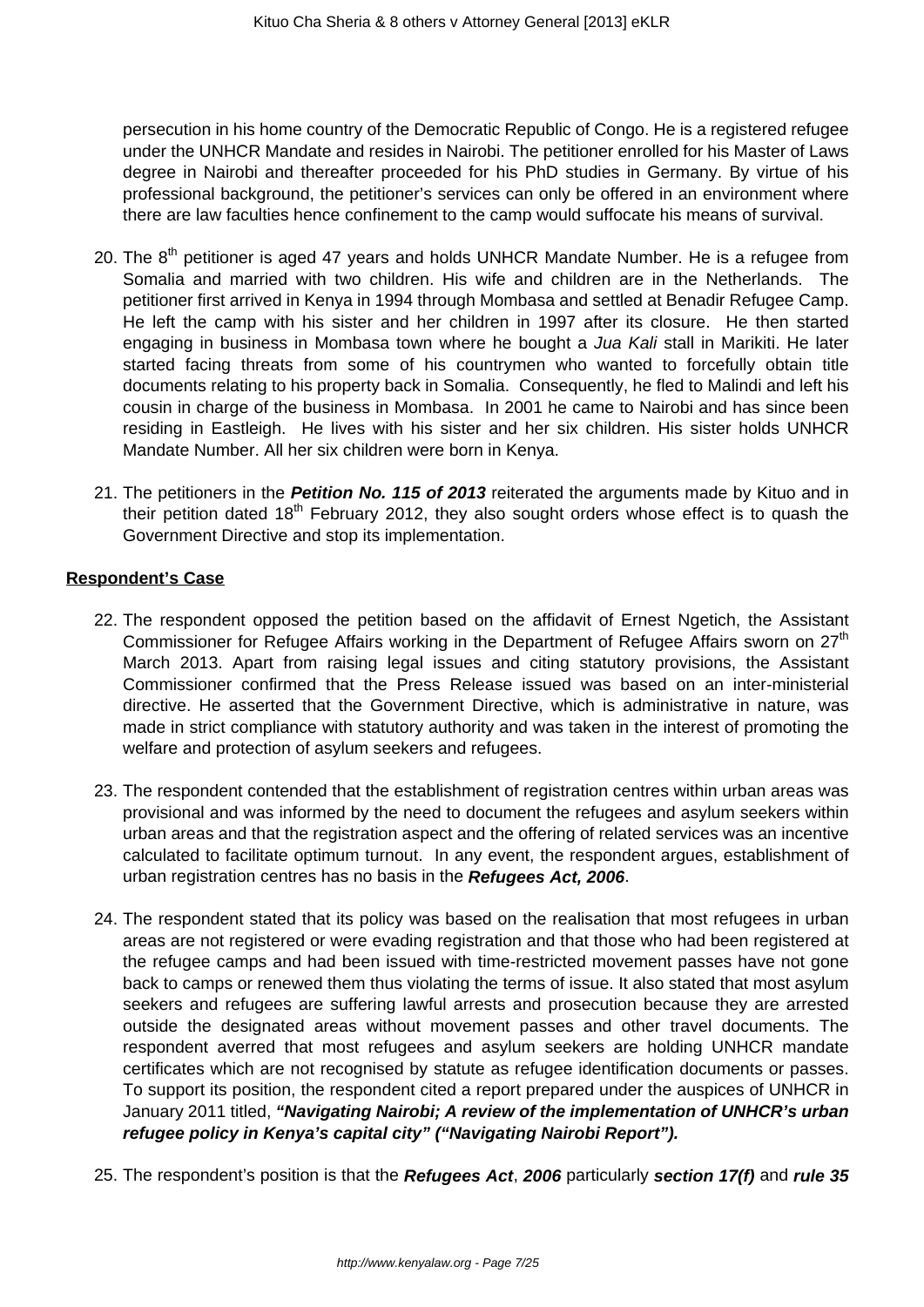persecution in his home country of the Democratic Republic of Congo. He is a registered refugee under the UNHCR Mandate and resides in Nairobi. The petitioner enrolled for his Master of Laws degree in Nairobi and thereafter proceeded for his PhD studies in Germany. By virtue of his professional background, the petitioner's services can only be offered in an environment where there are law faculties hence confinement to the camp would suffocate his means of survival.

- 20. The  $8<sup>th</sup>$  petitioner is aged 47 years and holds UNHCR Mandate Number. He is a refugee from Somalia and married with two children. His wife and children are in the Netherlands. The petitioner first arrived in Kenya in 1994 through Mombasa and settled at Benadir Refugee Camp. He left the camp with his sister and her children in 1997 after its closure. He then started engaging in business in Mombasa town where he bought a *Jua Kali* stall in Marikiti. He later started facing threats from some of his countrymen who wanted to forcefully obtain title documents relating to his property back in Somalia. Consequently, he fled to Malindi and left his cousin in charge of the business in Mombasa. In 2001 he came to Nairobi and has since been residing in Eastleigh. He lives with his sister and her six children. His sister holds UNHCR Mandate Number. All her six children were born in Kenya.
- 21. The petitioners in the **Petition No. 115 of 2013** reiterated the arguments made by Kituo and in their petition dated  $18<sup>th</sup>$  February 2012, they also sought orders whose effect is to quash the Government Directive and stop its implementation.

### **Respondent's Case**

- 22. The respondent opposed the petition based on the affidavit of Ernest Ngetich, the Assistant Commissioner for Refugee Affairs working in the Department of Refugee Affairs sworn on 27<sup>th</sup> March 2013. Apart from raising legal issues and citing statutory provisions, the Assistant Commissioner confirmed that the Press Release issued was based on an inter-ministerial directive. He asserted that the Government Directive, which is administrative in nature, was made in strict compliance with statutory authority and was taken in the interest of promoting the welfare and protection of asylum seekers and refugees.
- 23. The respondent contended that the establishment of registration centres within urban areas was provisional and was informed by the need to document the refugees and asylum seekers within urban areas and that the registration aspect and the offering of related services was an incentive calculated to facilitate optimum turnout. In any event, the respondent argues, establishment of urban registration centres has no basis in the **Refugees Act, 2006**.
- 24. The respondent stated that its policy was based on the realisation that most refugees in urban areas are not registered or were evading registration and that those who had been registered at the refugee camps and had been issued with time-restricted movement passes have not gone back to camps or renewed them thus violating the terms of issue. It also stated that most asylum seekers and refugees are suffering lawful arrests and prosecution because they are arrested outside the designated areas without movement passes and other travel documents. The respondent averred that most refugees and asylum seekers are holding UNHCR mandate certificates which are not recognised by statute as refugee identification documents or passes. To support its position, the respondent cited a report prepared under the auspices of UNHCR in January 2011 titled, **"Navigating Nairobi; A review of the implementation of UNHCR's urban refugee policy in Kenya's capital city" ("Navigating Nairobi Report").**
- 25. The respondent's position is that the **Refugees Act**, **2006** particularly **section 17(f)** and **rule 35**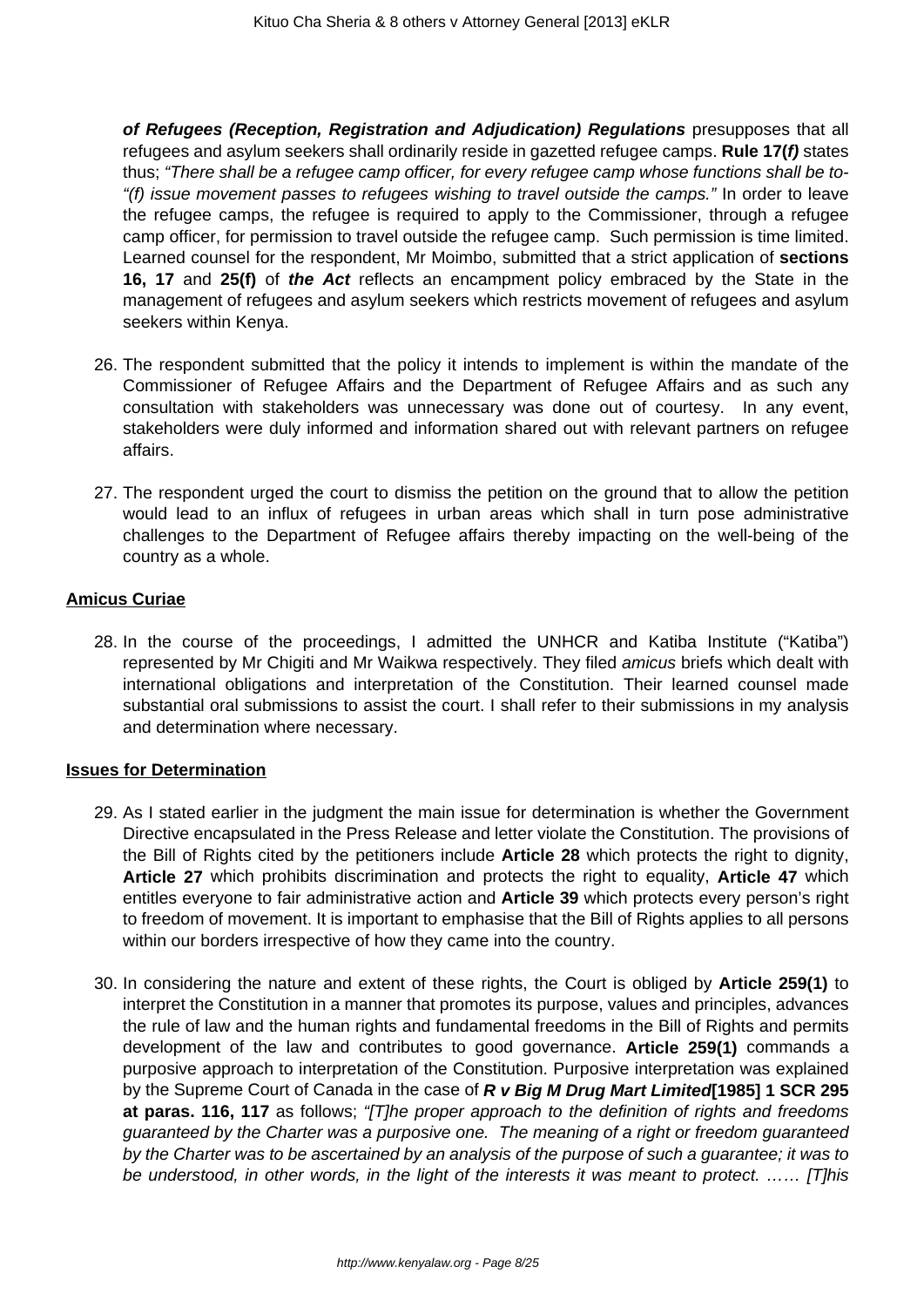**of Refugees (Reception, Registration and Adjudication) Regulations** presupposes that all refugees and asylum seekers shall ordinarily reside in gazetted refugee camps. **Rule 17(f)** states thus; "There shall be a refugee camp officer, for every refugee camp whose functions shall be to- "(f) issue movement passes to refugees wishing to travel outside the camps." In order to leave the refugee camps, the refugee is required to apply to the Commissioner, through a refugee camp officer, for permission to travel outside the refugee camp. Such permission is time limited. Learned counsel for the respondent, Mr Moimbo, submitted that a strict application of **sections 16, 17** and **25(f)** of **the Act** reflects an encampment policy embraced by the State in the management of refugees and asylum seekers which restricts movement of refugees and asylum seekers within Kenya.

- 26. The respondent submitted that the policy it intends to implement is within the mandate of the Commissioner of Refugee Affairs and the Department of Refugee Affairs and as such any consultation with stakeholders was unnecessary was done out of courtesy. In any event, stakeholders were duly informed and information shared out with relevant partners on refugee affairs.
- 27. The respondent urged the court to dismiss the petition on the ground that to allow the petition would lead to an influx of refugees in urban areas which shall in turn pose administrative challenges to the Department of Refugee affairs thereby impacting on the well-being of the country as a whole.

### **Amicus Curiae**

28. In the course of the proceedings, I admitted the UNHCR and Katiba Institute ("Katiba") represented by Mr Chigiti and Mr Waikwa respectively. They filed amicus briefs which dealt with international obligations and interpretation of the Constitution. Their learned counsel made substantial oral submissions to assist the court. I shall refer to their submissions in my analysis and determination where necessary.

#### **Issues for Determination**

- 29. As I stated earlier in the judgment the main issue for determination is whether the Government Directive encapsulated in the Press Release and letter violate the Constitution. The provisions of the Bill of Rights cited by the petitioners include **Article 28** which protects the right to dignity, **Article 27** which prohibits discrimination and protects the right to equality, **Article 47** which entitles everyone to fair administrative action and **Article 39** which protects every person's right to freedom of movement. It is important to emphasise that the Bill of Rights applies to all persons within our borders irrespective of how they came into the country.
- 30. In considering the nature and extent of these rights, the Court is obliged by **Article 259(1)** to interpret the Constitution in a manner that promotes its purpose, values and principles, advances the rule of law and the human rights and fundamental freedoms in the Bill of Rights and permits development of the law and contributes to good governance. **Article 259(1)** commands a purposive approach to interpretation of the Constitution. Purposive interpretation was explained by the Supreme Court of Canada in the case of **R v Big M Drug Mart Limited[1985] 1 SCR 295** at paras. 116, 117 as follows; "[T]he proper approach to the definition of rights and freedoms guaranteed by the Charter was a purposive one. The meaning of a right or freedom guaranteed by the Charter was to be ascertained by an analysis of the purpose of such a guarantee; it was to be understood, in other words, in the light of the interests it was meant to protect. …… [T]his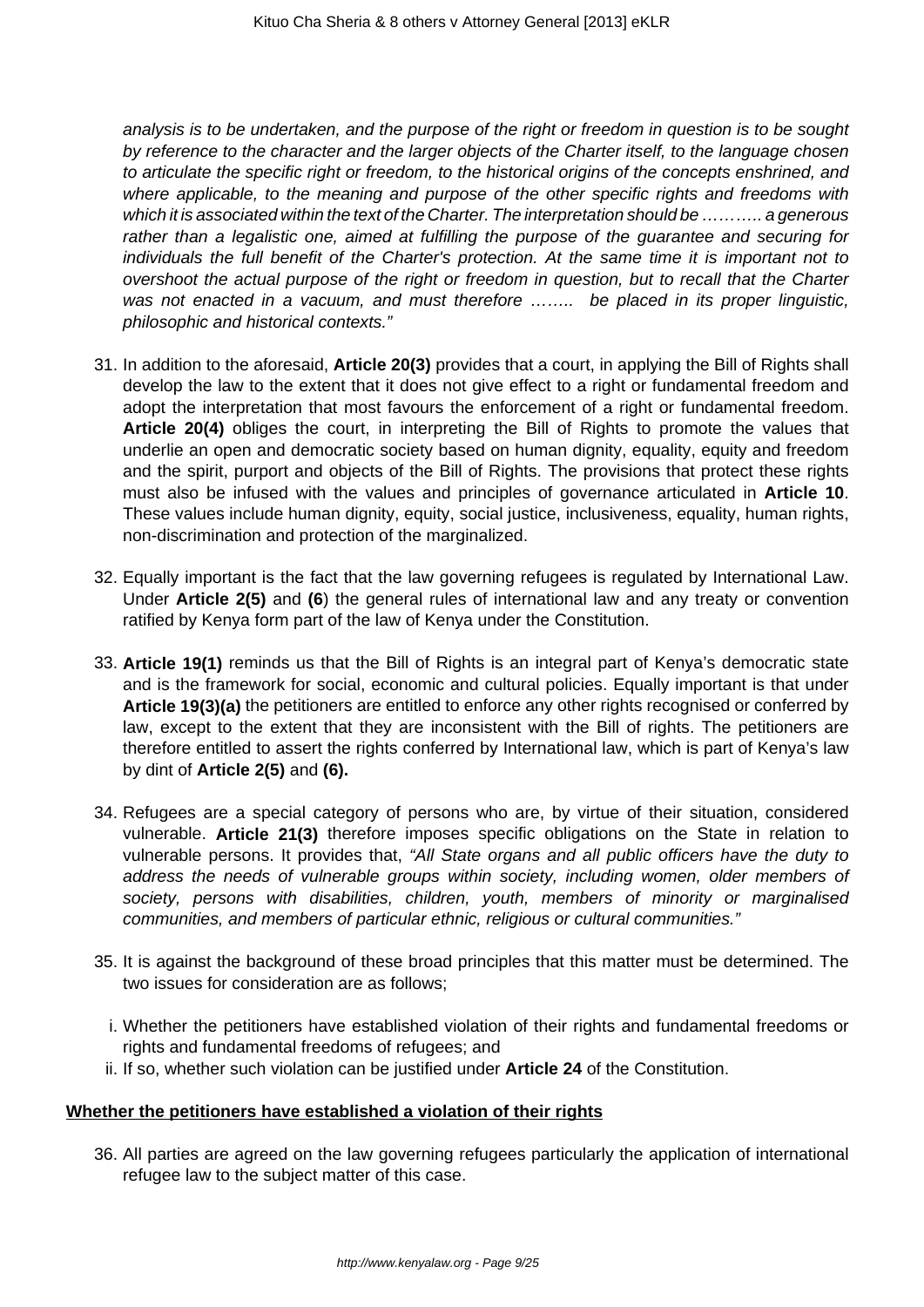analysis is to be undertaken, and the purpose of the right or freedom in question is to be sought by reference to the character and the larger objects of the Charter itself, to the language chosen to articulate the specific right or freedom, to the historical origins of the concepts enshrined, and where applicable, to the meaning and purpose of the other specific rights and freedoms with which it is associated within the text of the Charter. The interpretation should be ........... a generous rather than a legalistic one, aimed at fulfilling the purpose of the guarantee and securing for individuals the full benefit of the Charter's protection. At the same time it is important not to overshoot the actual purpose of the right or freedom in question, but to recall that the Charter was not enacted in a vacuum, and must therefore ........ be placed in its proper linguistic, philosophic and historical contexts."

- 31. In addition to the aforesaid, **Article 20(3)** provides that a court, in applying the Bill of Rights shall develop the law to the extent that it does not give effect to a right or fundamental freedom and adopt the interpretation that most favours the enforcement of a right or fundamental freedom. **Article 20(4)** obliges the court, in interpreting the Bill of Rights to promote the values that underlie an open and democratic society based on human dignity, equality, equity and freedom and the spirit, purport and objects of the Bill of Rights. The provisions that protect these rights must also be infused with the values and principles of governance articulated in **Article 10**. These values include human dignity, equity, social justice, inclusiveness, equality, human rights, non-discrimination and protection of the marginalized.
- 32. Equally important is the fact that the law governing refugees is regulated by International Law. Under **Article 2(5)** and **(6**) the general rules of international law and any treaty or convention ratified by Kenya form part of the law of Kenya under the Constitution.
- 33. **Article 19(1)** reminds us that the Bill of Rights is an integral part of Kenya's democratic state and is the framework for social, economic and cultural policies. Equally important is that under **Article 19(3)(a)** the petitioners are entitled to enforce any other rights recognised or conferred by law, except to the extent that they are inconsistent with the Bill of rights. The petitioners are therefore entitled to assert the rights conferred by International law, which is part of Kenya's law by dint of **Article 2(5)** and **(6).**
- 34. Refugees are a special category of persons who are, by virtue of their situation, considered vulnerable. **Article 21(3)** therefore imposes specific obligations on the State in relation to vulnerable persons. It provides that, "All State organs and all public officers have the duty to address the needs of vulnerable groups within society, including women, older members of society, persons with disabilities, children, youth, members of minority or marginalised communities, and members of particular ethnic, religious or cultural communities."
- 35. It is against the background of these broad principles that this matter must be determined. The two issues for consideration are as follows;
	- i. Whether the petitioners have established violation of their rights and fundamental freedoms or rights and fundamental freedoms of refugees; and
	- ii. If so, whether such violation can be justified under **Article 24** of the Constitution.

### **Whether the petitioners have established a violation of their rights**

36. All parties are agreed on the law governing refugees particularly the application of international refugee law to the subject matter of this case.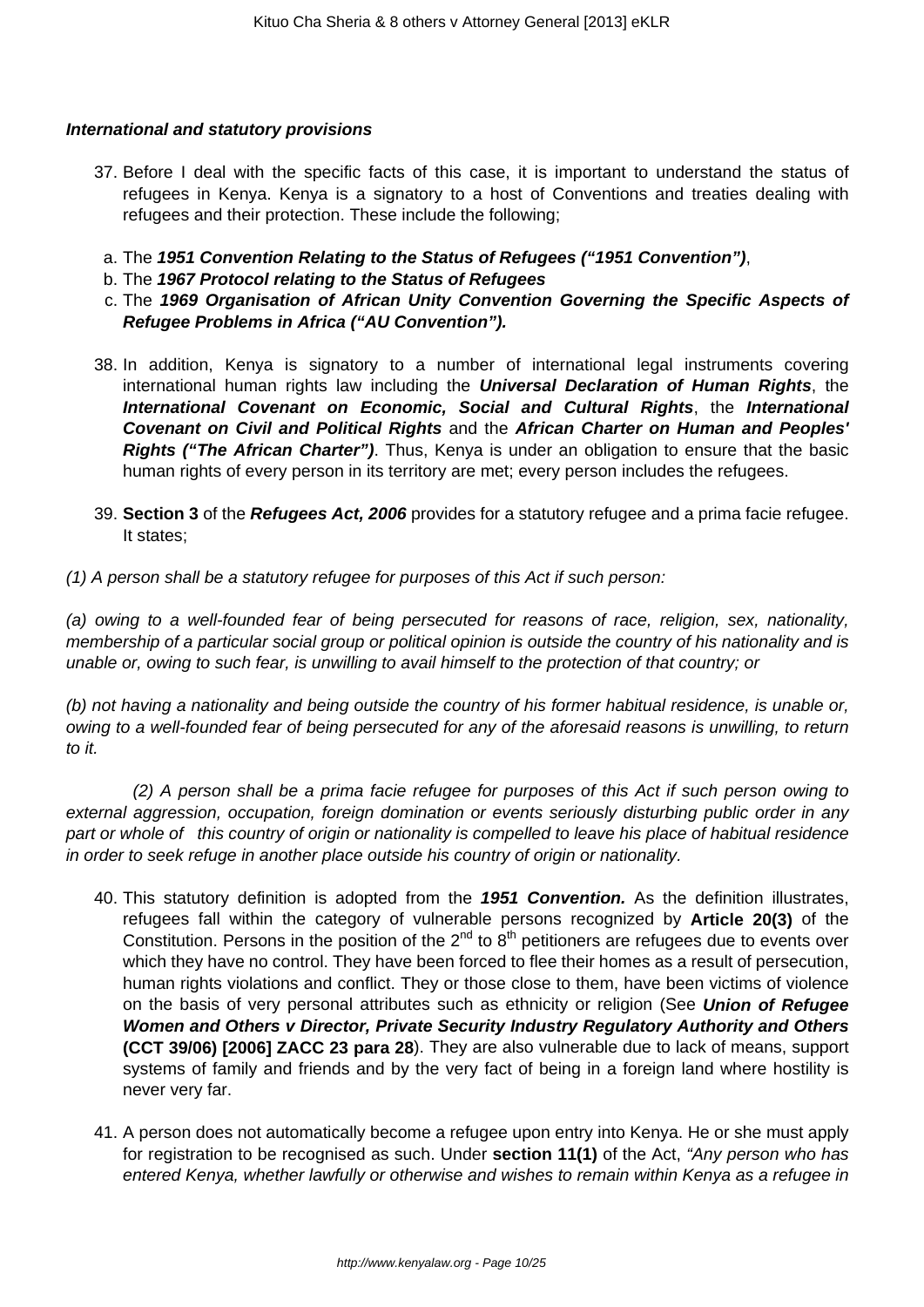### **International and statutory provisions**

- 37. Before I deal with the specific facts of this case, it is important to understand the status of refugees in Kenya. Kenya is a signatory to a host of Conventions and treaties dealing with refugees and their protection. These include the following;
	- a. The **1951 Convention Relating to the Status of Refugees ("1951 Convention")**,
	- b. The **1967 Protocol relating to the Status of Refugees**
	- c. The **1969 Organisation of African Unity Convention Governing the Specific Aspects of Refugee Problems in Africa ("AU Convention").**
- 38. In addition, Kenya is signatory to a number of international legal instruments covering international human rights law including the **Universal Declaration of Human Rights**, the **International Covenant on Economic, Social and Cultural Rights**, the **International Covenant on Civil and Political Rights** and the **African Charter on Human and Peoples' Rights ("The African Charter")**. Thus, Kenya is under an obligation to ensure that the basic human rights of every person in its territory are met; every person includes the refugees.
- 39. **Section 3** of the **Refugees Act, 2006** provides for a statutory refugee and a prima facie refugee. It states;
- (1) A person shall be a statutory refugee for purposes of this Act if such person:

(a) owing to a well-founded fear of being persecuted for reasons of race, religion, sex, nationality, membership of a particular social group or political opinion is outside the country of his nationality and is unable or, owing to such fear, is unwilling to avail himself to the protection of that country; or

(b) not having a nationality and being outside the country of his former habitual residence, is unable or, owing to a well-founded fear of being persecuted for any of the aforesaid reasons is unwilling, to return to it.

 (2) A person shall be a prima facie refugee for purposes of this Act if such person owing to external aggression, occupation, foreign domination or events seriously disturbing public order in any part or whole of this country of origin or nationality is compelled to leave his place of habitual residence in order to seek refuge in another place outside his country of origin or nationality.

- 40. This statutory definition is adopted from the **1951 Convention.** As the definition illustrates, refugees fall within the category of vulnerable persons recognized by **Article 20(3)** of the Constitution. Persons in the position of the  $2^{nd}$  to  $8^{th}$  petitioners are refugees due to events over which they have no control. They have been forced to flee their homes as a result of persecution, human rights violations and conflict. They or those close to them, have been victims of violence on the basis of very personal attributes such as ethnicity or religion (See **Union of Refugee Women and Others v Director, Private Security Industry Regulatory Authority and Others (CCT 39/06) [2006] ZACC 23 para 28**). They are also vulnerable due to lack of means, support systems of family and friends and by the very fact of being in a foreign land where hostility is never very far.
- 41. A person does not automatically become a refugee upon entry into Kenya. He or she must apply for registration to be recognised as such. Under **section 11(1)** of the Act, "Any person who has entered Kenya, whether lawfully or otherwise and wishes to remain within Kenya as a refugee in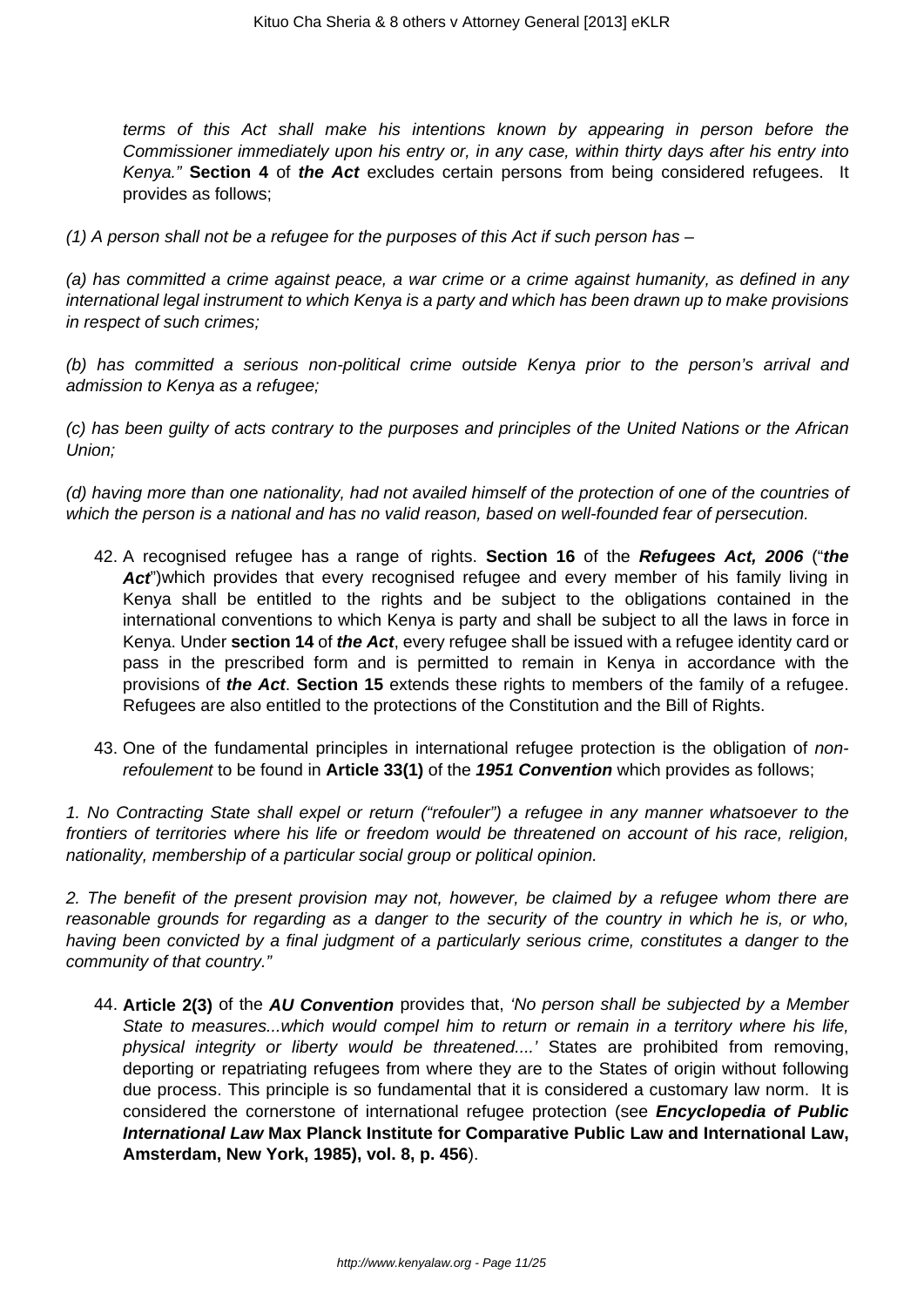terms of this Act shall make his intentions known by appearing in person before the Commissioner immediately upon his entry or, in any case, within thirty days after his entry into Kenya." **Section 4** of **the Act** excludes certain persons from being considered refugees. It provides as follows;

 $(1)$  A person shall not be a refugee for the purposes of this Act if such person has  $-$ 

(a) has committed a crime against peace, a war crime or a crime against humanity, as defined in any international legal instrument to which Kenya is a party and which has been drawn up to make provisions in respect of such crimes;

(b) has committed a serious non-political crime outside Kenya prior to the person's arrival and admission to Kenya as a refugee;

(c) has been guilty of acts contrary to the purposes and principles of the United Nations or the African Union;

(d) having more than one nationality, had not availed himself of the protection of one of the countries of which the person is a national and has no valid reason, based on well-founded fear of persecution.

- 42. A recognised refugee has a range of rights. **Section 16** of the **Refugees Act, 2006** ("**the** Act<sup>\*</sup>)which provides that every recognised refugee and every member of his family living in Kenya shall be entitled to the rights and be subject to the obligations contained in the international conventions to which Kenya is party and shall be subject to all the laws in force in Kenya. Under **section 14** of **the Act**, every refugee shall be issued with a refugee identity card or pass in the prescribed form and is permitted to remain in Kenya in accordance with the provisions of **the Act**. **Section 15** extends these rights to members of the family of a refugee. Refugees are also entitled to the protections of the Constitution and the Bill of Rights.
- 43. One of the fundamental principles in international refugee protection is the obligation of nonrefoulement to be found in **Article 33(1)** of the **1951 Convention** which provides as follows;

1. No Contracting State shall expel or return ("refouler") a refugee in any manner whatsoever to the frontiers of territories where his life or freedom would be threatened on account of his race, religion, nationality, membership of a particular social group or political opinion.

2. The benefit of the present provision may not, however, be claimed by a refugee whom there are reasonable grounds for regarding as a danger to the security of the country in which he is, or who, having been convicted by a final judgment of a particularly serious crime, constitutes a danger to the community of that country."

44. **Article 2(3)** of the **AU Convention** provides that, 'No person shall be subjected by a Member State to measures...which would compel him to return or remain in a territory where his life, physical integrity or liberty would be threatened....' States are prohibited from removing, deporting or repatriating refugees from where they are to the States of origin without following due process. This principle is so fundamental that it is considered a customary law norm. It is considered the cornerstone of international refugee protection (see **Encyclopedia of Public International Law Max Planck Institute for Comparative Public Law and International Law, Amsterdam, New York, 1985), vol. 8, p. 456**).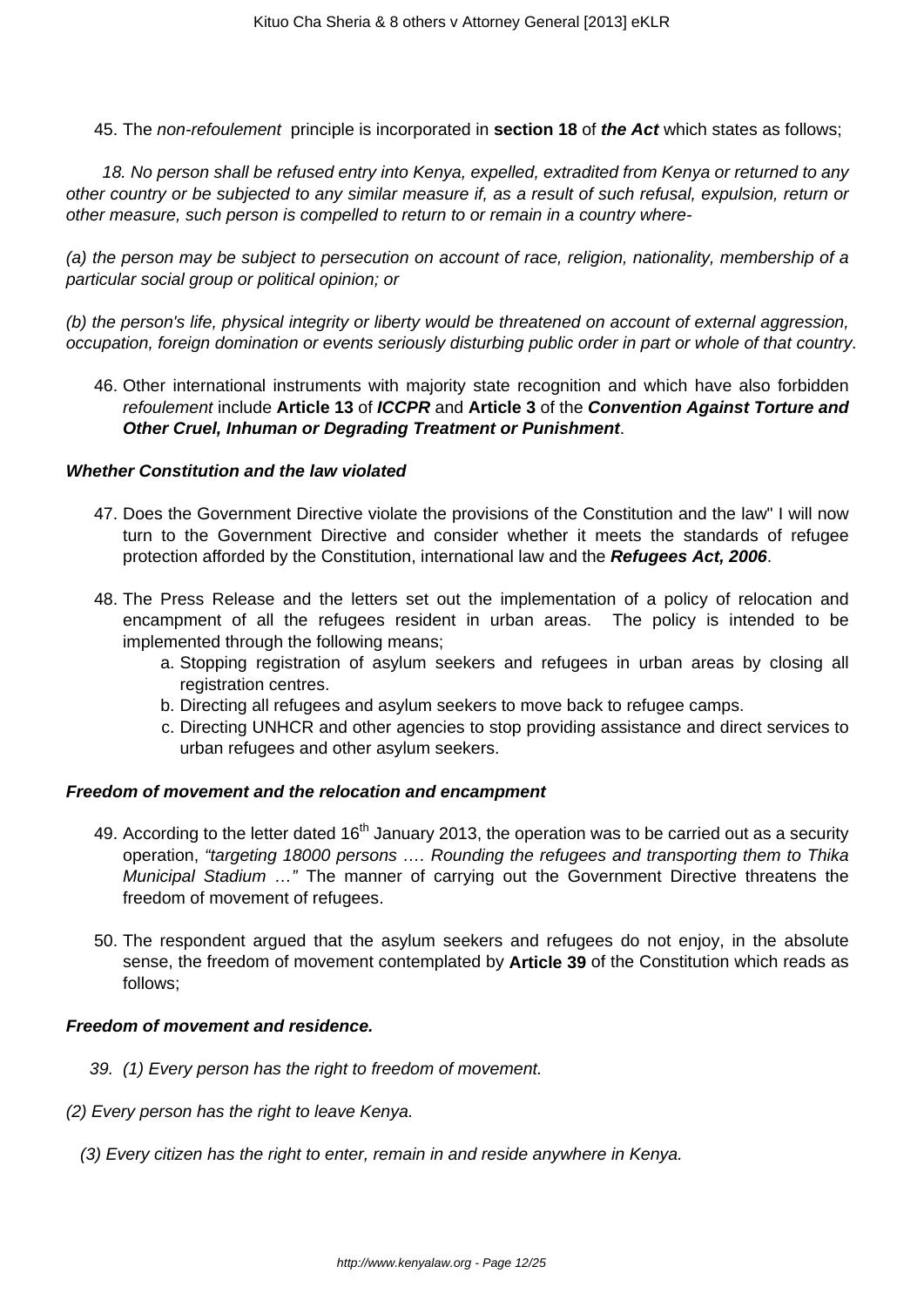45. The non-refoulement principle is incorporated in **section 18** of **the Act** which states as follows;

 18. No person shall be refused entry into Kenya, expelled, extradited from Kenya or returned to any other country or be subjected to any similar measure if, as a result of such refusal, expulsion, return or other measure, such person is compelled to return to or remain in a country where-

(a) the person may be subject to persecution on account of race, religion, nationality, membership of a particular social group or political opinion; or

(b) the person's life, physical integrity or liberty would be threatened on account of external aggression, occupation, foreign domination or events seriously disturbing public order in part or whole of that country.

46. Other international instruments with majority state recognition and which have also forbidden refoulement include **Article 13** of **ICCPR** and **Article 3** of the **Convention Against Torture and Other Cruel, Inhuman or Degrading Treatment or Punishment**.

### **Whether Constitution and the law violated**

- 47. Does the Government Directive violate the provisions of the Constitution and the law" I will now turn to the Government Directive and consider whether it meets the standards of refugee protection afforded by the Constitution, international law and the **Refugees Act, 2006**.
- 48. The Press Release and the letters set out the implementation of a policy of relocation and encampment of all the refugees resident in urban areas. The policy is intended to be implemented through the following means;
	- a. Stopping registration of asylum seekers and refugees in urban areas by closing all registration centres.
	- b. Directing all refugees and asylum seekers to move back to refugee camps.
	- c. Directing UNHCR and other agencies to stop providing assistance and direct services to urban refugees and other asylum seekers.

### **Freedom of movement and the relocation and encampment**

- 49. According to the letter dated  $16<sup>th</sup>$  January 2013, the operation was to be carried out as a security operation, "targeting 18000 persons …. Rounding the refugees and transporting them to Thika Municipal Stadium …" The manner of carrying out the Government Directive threatens the freedom of movement of refugees.
- 50. The respondent argued that the asylum seekers and refugees do not enjoy, in the absolute sense, the freedom of movement contemplated by **Article 39** of the Constitution which reads as follows;

### **Freedom of movement and residence.**

- 39. (1) Every person has the right to freedom of movement.
- (2) Every person has the right to leave Kenya.
	- (3) Every citizen has the right to enter, remain in and reside anywhere in Kenya.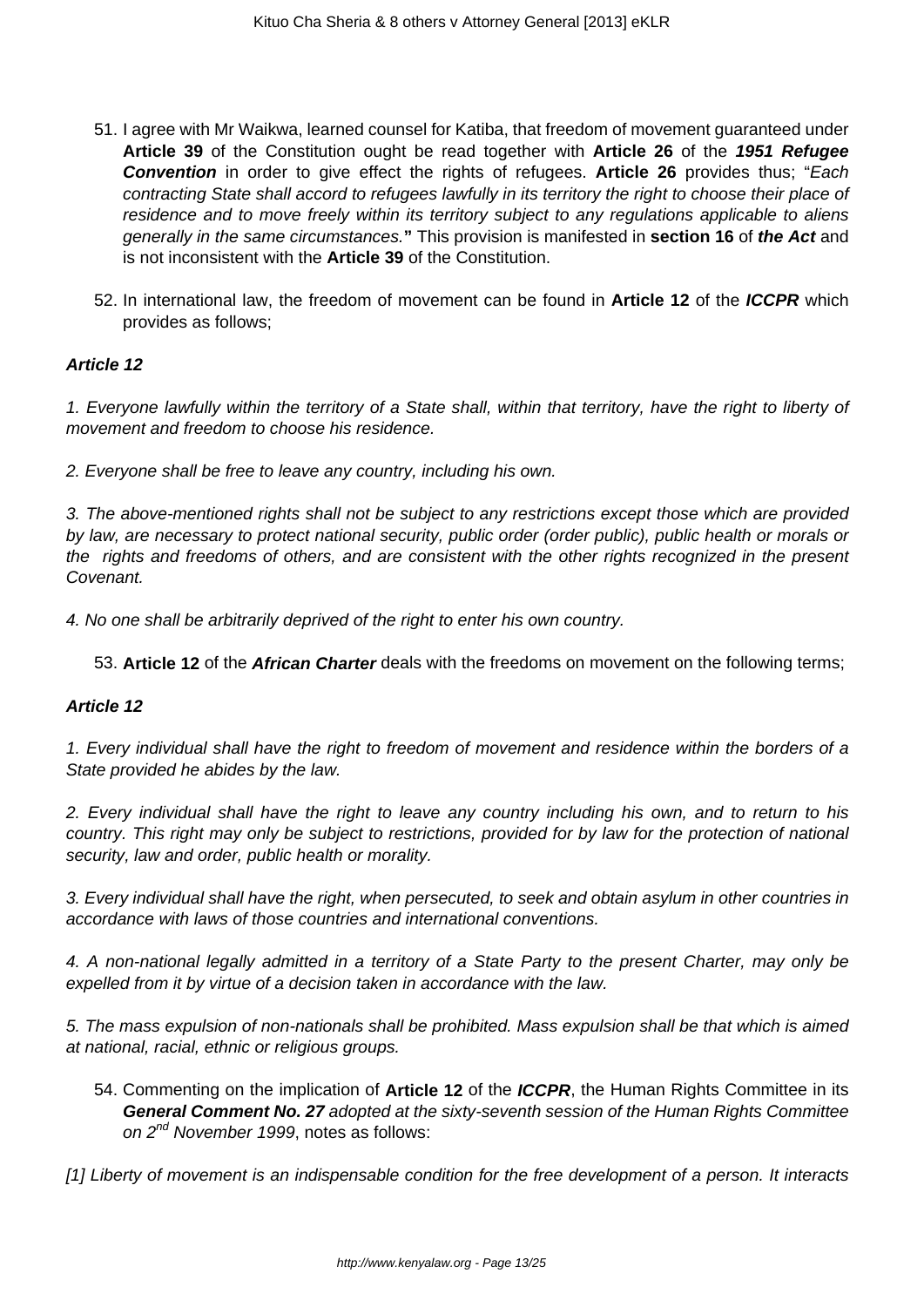- 51. I agree with Mr Waikwa, learned counsel for Katiba, that freedom of movement guaranteed under **Article 39** of the Constitution ought be read together with **Article 26** of the **1951 Refugee Convention** in order to give effect the rights of refugees. Article 26 provides thus; "Each contracting State shall accord to refugees lawfully in its territory the right to choose their place of residence and to move freely within its territory subject to any regulations applicable to aliens generally in the same circumstances.**"** This provision is manifested in **section 16** of **the Act** and is not inconsistent with the **Article 39** of the Constitution.
- 52. In international law, the freedom of movement can be found in **Article 12** of the **ICCPR** which provides as follows;

## **Article 12**

1. Everyone lawfully within the territory of a State shall, within that territory, have the right to liberty of movement and freedom to choose his residence.

2. Everyone shall be free to leave any country, including his own.

3. The above-mentioned rights shall not be subject to any restrictions except those which are provided by law, are necessary to protect national security, public order (order public), public health or morals or the rights and freedoms of others, and are consistent with the other rights recognized in the present Covenant.

4. No one shall be arbitrarily deprived of the right to enter his own country.

53. **Article 12** of the **African Charter** deals with the freedoms on movement on the following terms;

### **Article 12**

1. Every individual shall have the right to freedom of movement and residence within the borders of a State provided he abides by the law.

2. Every individual shall have the right to leave any country including his own, and to return to his country. This right may only be subject to restrictions, provided for by law for the protection of national security, law and order, public health or morality.

3. Every individual shall have the right, when persecuted, to seek and obtain asylum in other countries in accordance with laws of those countries and international conventions.

4. A non-national legally admitted in a territory of a State Party to the present Charter, may only be expelled from it by virtue of a decision taken in accordance with the law.

5. The mass expulsion of non-nationals shall be prohibited. Mass expulsion shall be that which is aimed at national, racial, ethnic or religious groups.

54. Commenting on the implication of **Article 12** of the **ICCPR**, the Human Rights Committee in its **General Comment No. 27** adopted at the sixty-seventh session of the Human Rights Committee on 2<sup>nd</sup> November 1999, notes as follows:

[1] Liberty of movement is an indispensable condition for the free development of a person. It interacts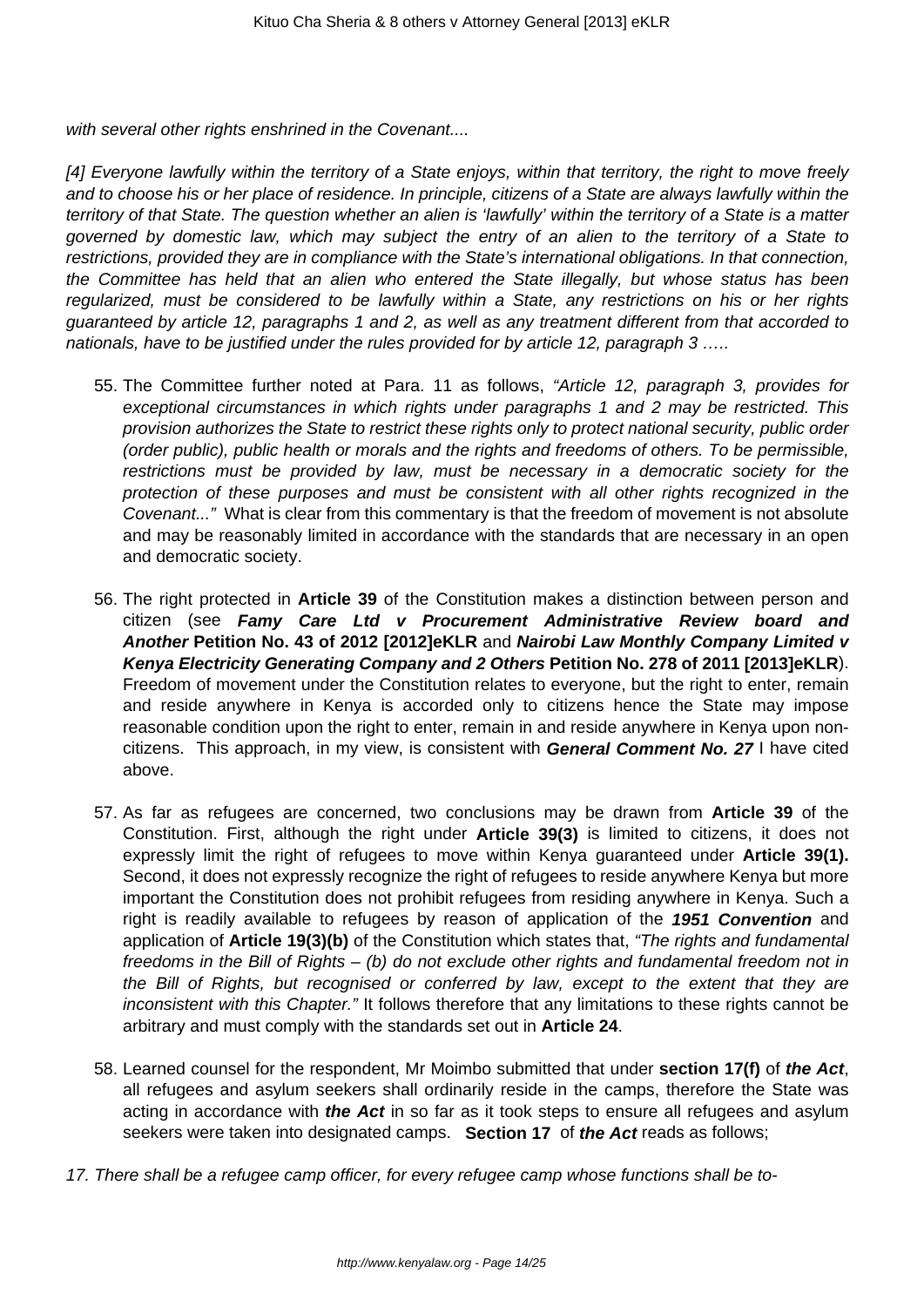with several other rights enshrined in the Covenant....

[4] Everyone lawfully within the territory of a State enjoys, within that territory, the right to move freely and to choose his or her place of residence. In principle, citizens of a State are always lawfully within the territory of that State. The question whether an alien is 'lawfully' within the territory of a State is a matter governed by domestic law, which may subject the entry of an alien to the territory of a State to restrictions, provided they are in compliance with the State's international obligations. In that connection, the Committee has held that an alien who entered the State illegally, but whose status has been regularized, must be considered to be lawfully within a State, any restrictions on his or her rights guaranteed by article 12, paragraphs 1 and 2, as well as any treatment different from that accorded to nationals, have to be justified under the rules provided for by article 12, paragraph 3 .....

- 55. The Committee further noted at Para. 11 as follows, "Article 12, paragraph 3, provides for exceptional circumstances in which rights under paragraphs 1 and 2 may be restricted. This provision authorizes the State to restrict these rights only to protect national security, public order (order public), public health or morals and the rights and freedoms of others. To be permissible, restrictions must be provided by law, must be necessary in a democratic society for the protection of these purposes and must be consistent with all other rights recognized in the Covenant..." What is clear from this commentary is that the freedom of movement is not absolute and may be reasonably limited in accordance with the standards that are necessary in an open and democratic society.
- 56. The right protected in **Article 39** of the Constitution makes a distinction between person and citizen (see **Famy Care Ltd v Procurement Administrative Review board and Another Petition No. 43 of 2012 [2012]eKLR** and **Nairobi Law Monthly Company Limited v Kenya Electricity Generating Company and 2 Others Petition No. 278 of 2011 [2013]eKLR**). Freedom of movement under the Constitution relates to everyone, but the right to enter, remain and reside anywhere in Kenya is accorded only to citizens hence the State may impose reasonable condition upon the right to enter, remain in and reside anywhere in Kenya upon noncitizens. This approach, in my view, is consistent with **General Comment No. 27** I have cited above.
- 57. As far as refugees are concerned, two conclusions may be drawn from **Article 39** of the Constitution. First, although the right under **Article 39(3)** is limited to citizens, it does not expressly limit the right of refugees to move within Kenya guaranteed under **Article 39(1).** Second, it does not expressly recognize the right of refugees to reside anywhere Kenya but more important the Constitution does not prohibit refugees from residing anywhere in Kenya. Such a right is readily available to refugees by reason of application of the **1951 Convention** and application of **Article 19(3)(b)** of the Constitution which states that, "The rights and fundamental freedoms in the Bill of Rights – (b) do not exclude other rights and fundamental freedom not in the Bill of Rights, but recognised or conferred by law, except to the extent that they are inconsistent with this Chapter." It follows therefore that any limitations to these rights cannot be arbitrary and must comply with the standards set out in **Article 24**.
- 58. Learned counsel for the respondent, Mr Moimbo submitted that under **section 17(f)** of **the Act**, all refugees and asylum seekers shall ordinarily reside in the camps, therefore the State was acting in accordance with **the Act** in so far as it took steps to ensure all refugees and asylum seekers were taken into designated camps. **Section 17** of **the Act** reads as follows;
- 17. There shall be a refugee camp officer, for every refugee camp whose functions shall be to-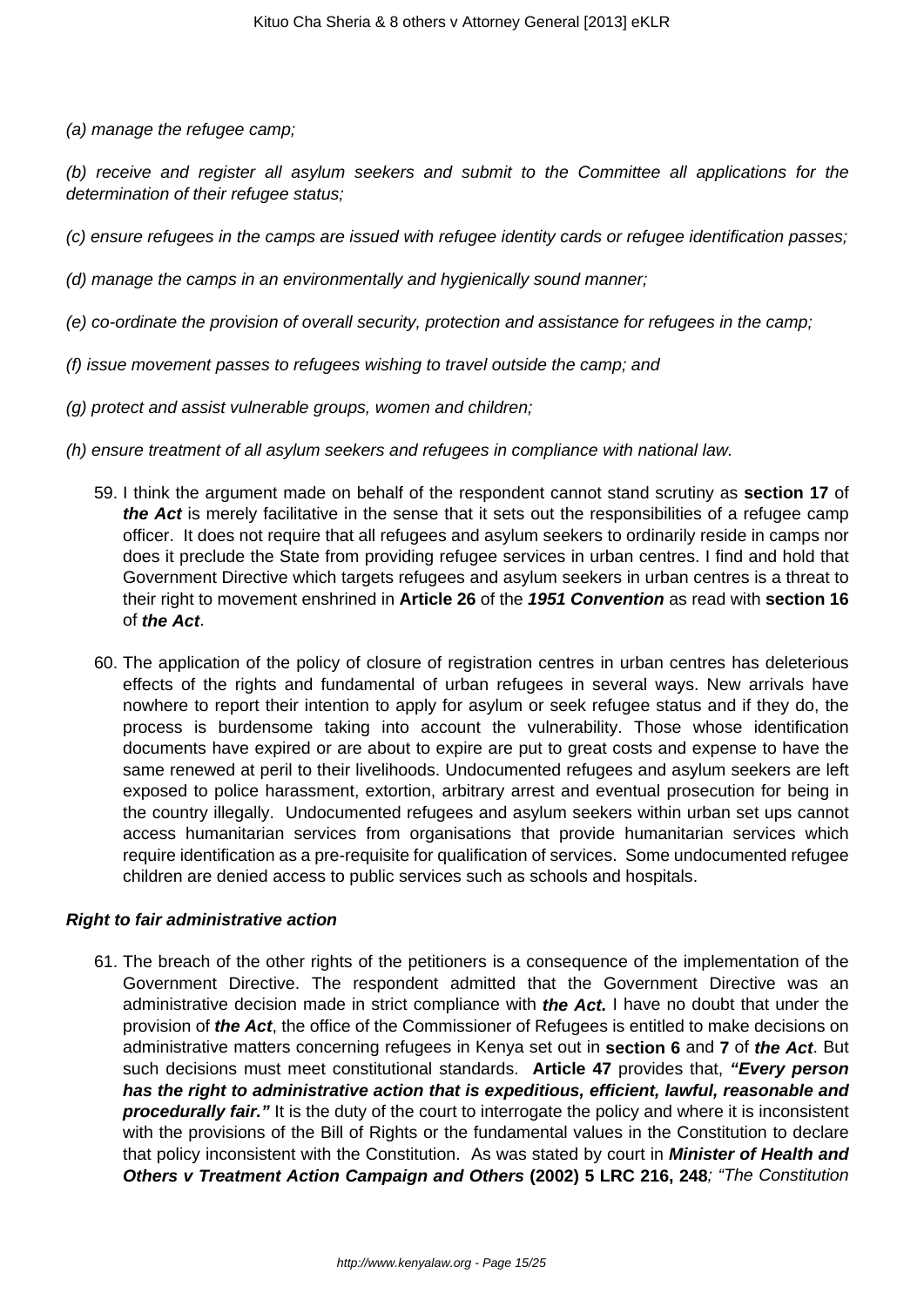(a) manage the refugee camp;

(b) receive and register all asylum seekers and submit to the Committee all applications for the determination of their refugee status;

(c) ensure refugees in the camps are issued with refugee identity cards or refugee identification passes;

(d) manage the camps in an environmentally and hygienically sound manner;

- (e) co-ordinate the provision of overall security, protection and assistance for refugees in the camp;
- (f) issue movement passes to refugees wishing to travel outside the camp; and
- (g) protect and assist vulnerable groups, women and children;
- (h) ensure treatment of all asylum seekers and refugees in compliance with national law.
	- 59. I think the argument made on behalf of the respondent cannot stand scrutiny as **section 17** of **the Act** is merely facilitative in the sense that it sets out the responsibilities of a refugee camp officer. It does not require that all refugees and asylum seekers to ordinarily reside in camps nor does it preclude the State from providing refugee services in urban centres. I find and hold that Government Directive which targets refugees and asylum seekers in urban centres is a threat to their right to movement enshrined in **Article 26** of the **1951 Convention** as read with **section 16** of **the Act**.
	- 60. The application of the policy of closure of registration centres in urban centres has deleterious effects of the rights and fundamental of urban refugees in several ways. New arrivals have nowhere to report their intention to apply for asylum or seek refugee status and if they do, the process is burdensome taking into account the vulnerability. Those whose identification documents have expired or are about to expire are put to great costs and expense to have the same renewed at peril to their livelihoods. Undocumented refugees and asylum seekers are left exposed to police harassment, extortion, arbitrary arrest and eventual prosecution for being in the country illegally. Undocumented refugees and asylum seekers within urban set ups cannot access humanitarian services from organisations that provide humanitarian services which require identification as a pre-requisite for qualification of services. Some undocumented refugee children are denied access to public services such as schools and hospitals.

### **Right to fair administrative action**

61. The breach of the other rights of the petitioners is a consequence of the implementation of the Government Directive. The respondent admitted that the Government Directive was an administrative decision made in strict compliance with **the Act.** I have no doubt that under the provision of **the Act**, the office of the Commissioner of Refugees is entitled to make decisions on administrative matters concerning refugees in Kenya set out in **section 6** and **7** of **the Act**. But such decisions must meet constitutional standards. **Article 47** provides that, **"Every person has the right to administrative action that is expeditious, efficient, lawful, reasonable and procedurally fair."** It is the duty of the court to interrogate the policy and where it is inconsistent with the provisions of the Bill of Rights or the fundamental values in the Constitution to declare that policy inconsistent with the Constitution. As was stated by court in **Minister of Health and Others v Treatment Action Campaign and Others (2002) 5 LRC 216, 248**; "The Constitution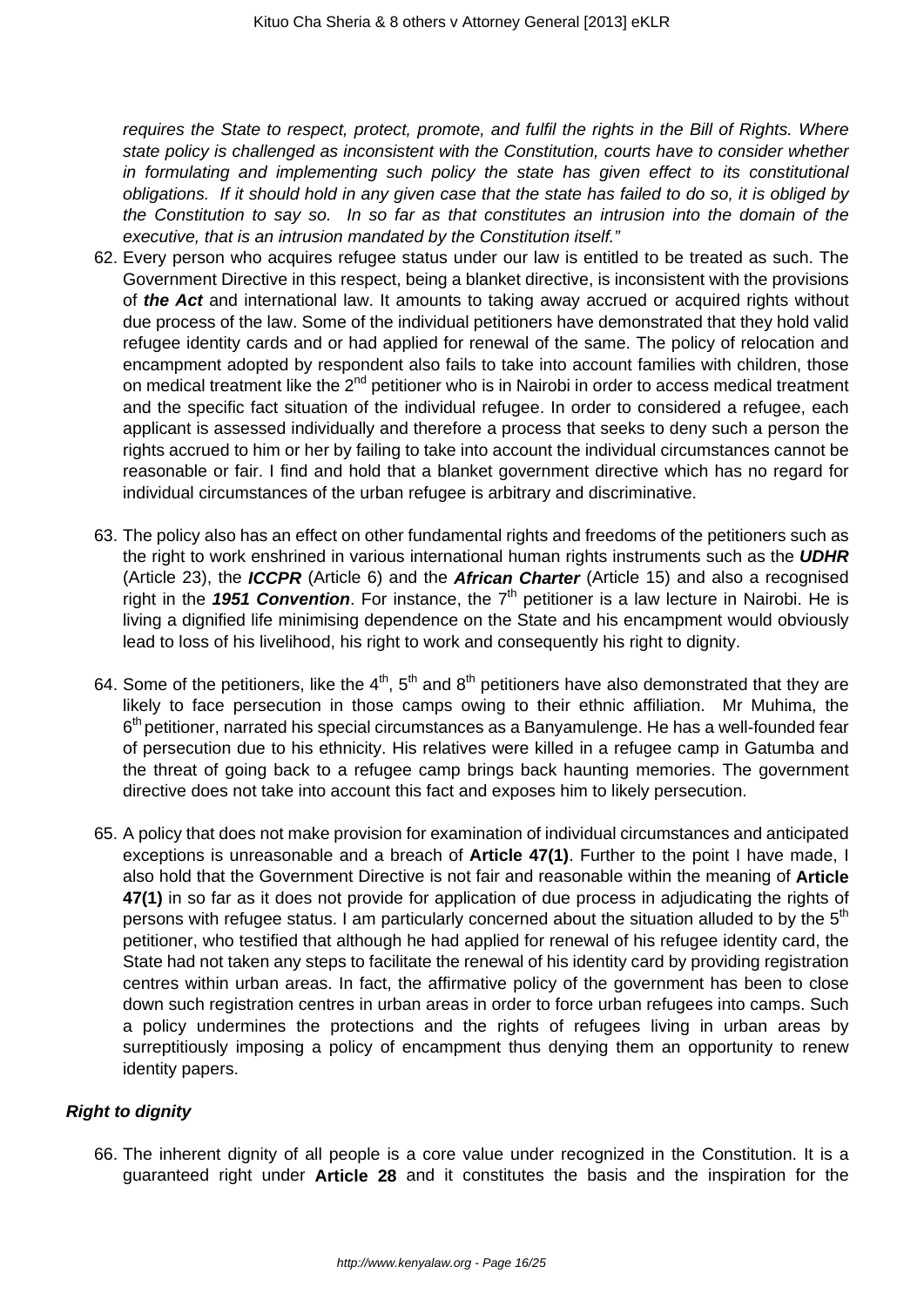requires the State to respect, protect, promote, and fulfil the rights in the Bill of Rights. Where state policy is challenged as inconsistent with the Constitution, courts have to consider whether in formulating and implementing such policy the state has given effect to its constitutional obligations. If it should hold in any given case that the state has failed to do so, it is obliged by the Constitution to say so. In so far as that constitutes an intrusion into the domain of the executive, that is an intrusion mandated by the Constitution itself."

- 62. Every person who acquires refugee status under our law is entitled to be treated as such. The Government Directive in this respect, being a blanket directive, is inconsistent with the provisions of **the Act** and international law. It amounts to taking away accrued or acquired rights without due process of the law. Some of the individual petitioners have demonstrated that they hold valid refugee identity cards and or had applied for renewal of the same. The policy of relocation and encampment adopted by respondent also fails to take into account families with children, those on medical treatment like the  $2^{nd}$  petitioner who is in Nairobi in order to access medical treatment and the specific fact situation of the individual refugee. In order to considered a refugee, each applicant is assessed individually and therefore a process that seeks to deny such a person the rights accrued to him or her by failing to take into account the individual circumstances cannot be reasonable or fair. I find and hold that a blanket government directive which has no regard for individual circumstances of the urban refugee is arbitrary and discriminative.
- 63. The policy also has an effect on other fundamental rights and freedoms of the petitioners such as the right to work enshrined in various international human rights instruments such as the **UDHR** (Article 23), the **ICCPR** (Article 6) and the **African Charter** (Article 15) and also a recognised right in the 1951 Convention. For instance, the 7<sup>th</sup> petitioner is a law lecture in Nairobi. He is living a dignified life minimising dependence on the State and his encampment would obviously lead to loss of his livelihood, his right to work and consequently his right to dignity.
- 64. Some of the petitioners, like the 4<sup>th</sup>, 5<sup>th</sup> and 8<sup>th</sup> petitioners have also demonstrated that they are likely to face persecution in those camps owing to their ethnic affiliation. Mr Muhima, the 6<sup>th</sup> petitioner, narrated his special circumstances as a Banyamulenge. He has a well-founded fear of persecution due to his ethnicity. His relatives were killed in a refugee camp in Gatumba and the threat of going back to a refugee camp brings back haunting memories. The government directive does not take into account this fact and exposes him to likely persecution.
- 65. A policy that does not make provision for examination of individual circumstances and anticipated exceptions is unreasonable and a breach of **Article 47(1)**. Further to the point I have made, I also hold that the Government Directive is not fair and reasonable within the meaning of **Article 47(1)** in so far as it does not provide for application of due process in adjudicating the rights of persons with refugee status. I am particularly concerned about the situation alluded to by the  $5<sup>th</sup>$ petitioner, who testified that although he had applied for renewal of his refugee identity card, the State had not taken any steps to facilitate the renewal of his identity card by providing registration centres within urban areas. In fact, the affirmative policy of the government has been to close down such registration centres in urban areas in order to force urban refugees into camps. Such a policy undermines the protections and the rights of refugees living in urban areas by surreptitiously imposing a policy of encampment thus denying them an opportunity to renew identity papers.

## **Right to dignity**

66. The inherent dignity of all people is a core value under recognized in the Constitution. It is a guaranteed right under **Article 28** and it constitutes the basis and the inspiration for the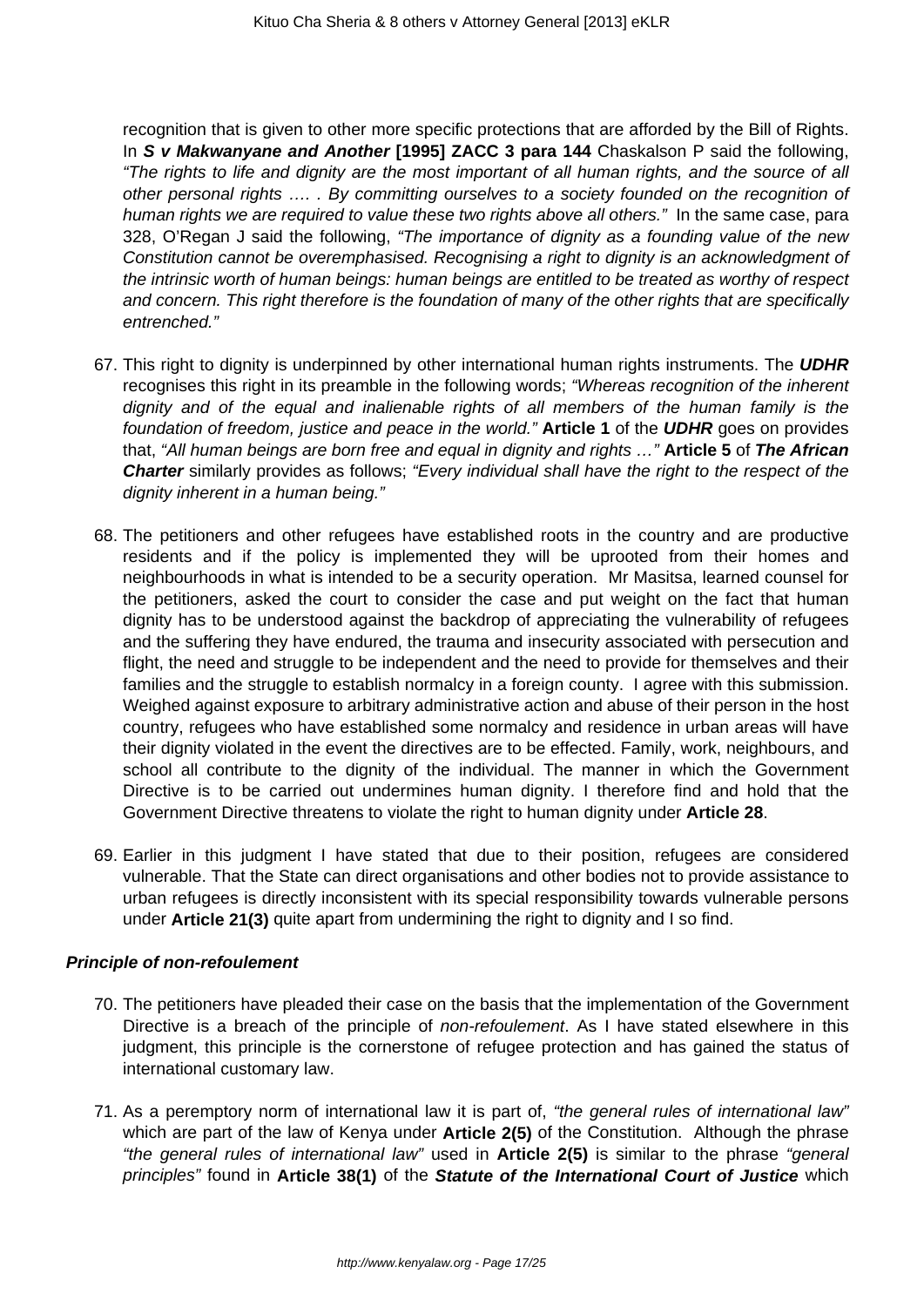recognition that is given to other more specific protections that are afforded by the Bill of Rights. In **S v Makwanyane and Another [1995] ZACC 3 para 144** Chaskalson P said the following, "The rights to life and dignity are the most important of all human rights, and the source of all other personal rights …. . By committing ourselves to a society founded on the recognition of human rights we are required to value these two rights above all others." In the same case, para 328, O'Regan J said the following, "The importance of dignity as a founding value of the new Constitution cannot be overemphasised. Recognising a right to dignity is an acknowledgment of the intrinsic worth of human beings: human beings are entitled to be treated as worthy of respect and concern. This right therefore is the foundation of many of the other rights that are specifically entrenched."

- 67. This right to dignity is underpinned by other international human rights instruments. The **UDHR** recognises this right in its preamble in the following words; "Whereas recognition of the inherent dignity and of the equal and inalienable rights of all members of the human family is the foundation of freedom, justice and peace in the world." **Article 1** of the **UDHR** goes on provides that, "All human beings are born free and equal in dignity and rights …" **Article 5** of **The African Charter** similarly provides as follows; "Every individual shall have the right to the respect of the dignity inherent in a human being."
- 68. The petitioners and other refugees have established roots in the country and are productive residents and if the policy is implemented they will be uprooted from their homes and neighbourhoods in what is intended to be a security operation. Mr Masitsa, learned counsel for the petitioners, asked the court to consider the case and put weight on the fact that human dignity has to be understood against the backdrop of appreciating the vulnerability of refugees and the suffering they have endured, the trauma and insecurity associated with persecution and flight, the need and struggle to be independent and the need to provide for themselves and their families and the struggle to establish normalcy in a foreign county. I agree with this submission. Weighed against exposure to arbitrary administrative action and abuse of their person in the host country, refugees who have established some normalcy and residence in urban areas will have their dignity violated in the event the directives are to be effected. Family, work, neighbours, and school all contribute to the dignity of the individual. The manner in which the Government Directive is to be carried out undermines human dignity. I therefore find and hold that the Government Directive threatens to violate the right to human dignity under **Article 28**.
- 69. Earlier in this judgment I have stated that due to their position, refugees are considered vulnerable. That the State can direct organisations and other bodies not to provide assistance to urban refugees is directly inconsistent with its special responsibility towards vulnerable persons under **Article 21(3)** quite apart from undermining the right to dignity and I so find.

### **Principle of non-refoulement**

- 70. The petitioners have pleaded their case on the basis that the implementation of the Government Directive is a breach of the principle of non-refoulement. As I have stated elsewhere in this judgment, this principle is the cornerstone of refugee protection and has gained the status of international customary law.
- 71. As a peremptory norm of international law it is part of, "the general rules of international law" which are part of the law of Kenya under **Article 2(5)** of the Constitution. Although the phrase "the general rules of international law" used in **Article 2(5)** is similar to the phrase "general principles" found in **Article 38(1)** of the **Statute of the International Court of Justice** which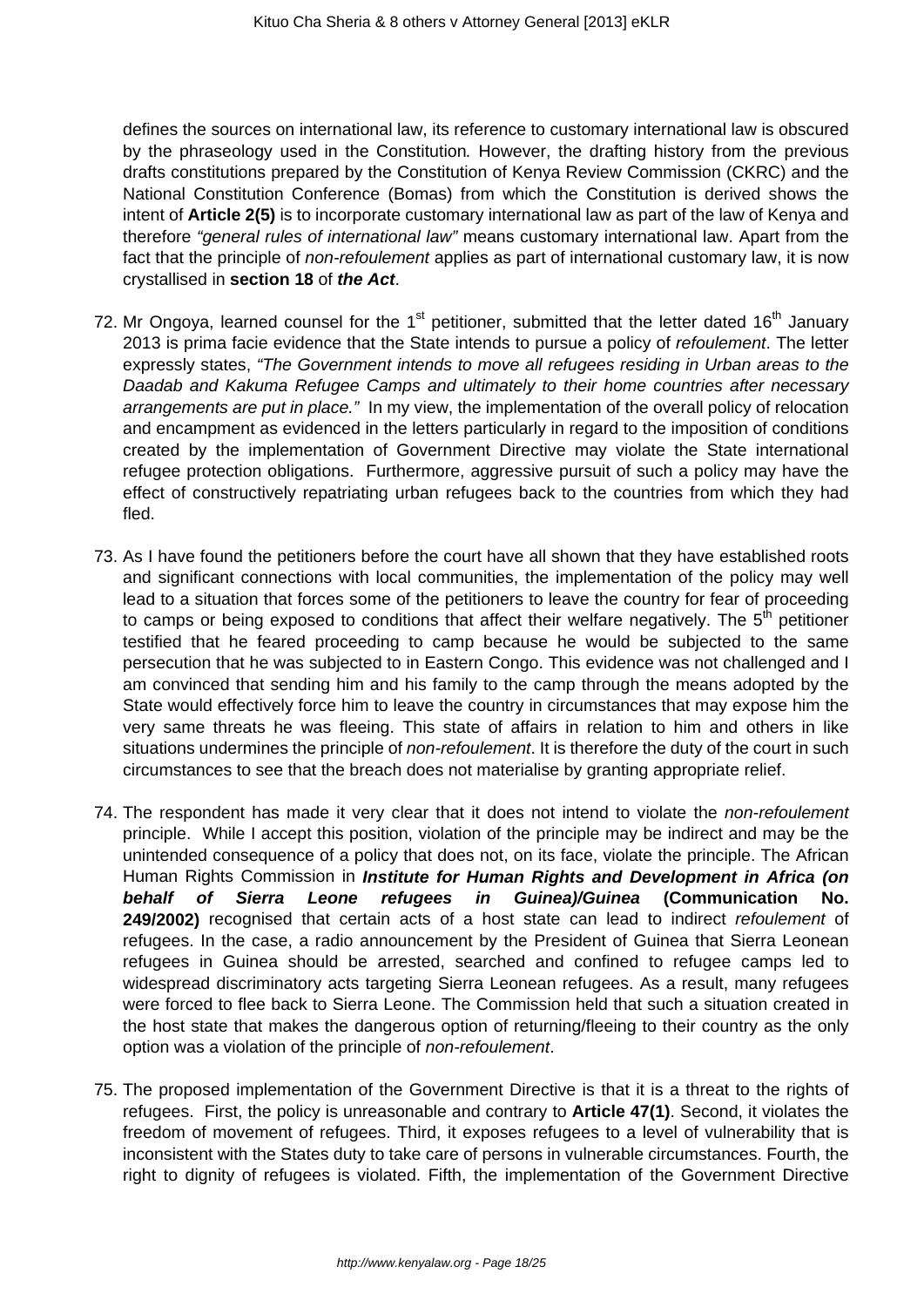defines the sources on international law, its reference to customary international law is obscured by the phraseology used in the Constitution. However, the drafting history from the previous drafts constitutions prepared by the Constitution of Kenya Review Commission (CKRC) and the National Constitution Conference (Bomas) from which the Constitution is derived shows the intent of **Article 2(5)** is to incorporate customary international law as part of the law of Kenya and therefore "general rules of international law" means customary international law. Apart from the fact that the principle of *non-refoulement* applies as part of international customary law, it is now crystallised in **section 18** of **the Act**.

- 72. Mr Ongoya, learned counsel for the  $1<sup>st</sup>$  petitioner, submitted that the letter dated  $16<sup>th</sup>$  January 2013 is prima facie evidence that the State intends to pursue a policy of *refoulement*. The letter expressly states, "The Government intends to move all refugees residing in Urban areas to the Daadab and Kakuma Refugee Camps and ultimately to their home countries after necessary arrangements are put in place." In my view, the implementation of the overall policy of relocation and encampment as evidenced in the letters particularly in regard to the imposition of conditions created by the implementation of Government Directive may violate the State international refugee protection obligations. Furthermore, aggressive pursuit of such a policy may have the effect of constructively repatriating urban refugees back to the countries from which they had fled.
- 73. As I have found the petitioners before the court have all shown that they have established roots and significant connections with local communities, the implementation of the policy may well lead to a situation that forces some of the petitioners to leave the country for fear of proceeding to camps or being exposed to conditions that affect their welfare negatively. The  $5<sup>th</sup>$  petitioner testified that he feared proceeding to camp because he would be subjected to the same persecution that he was subjected to in Eastern Congo. This evidence was not challenged and I am convinced that sending him and his family to the camp through the means adopted by the State would effectively force him to leave the country in circumstances that may expose him the very same threats he was fleeing. This state of affairs in relation to him and others in like situations undermines the principle of *non-refoulement*. It is therefore the duty of the court in such circumstances to see that the breach does not materialise by granting appropriate relief.
- 74. The respondent has made it very clear that it does not intend to violate the non-refoulement principle. While I accept this position, violation of the principle may be indirect and may be the unintended consequence of a policy that does not, on its face, violate the principle. The African Human Rights Commission in **Institute for Human Rights and Development in Africa (on behalf of Sierra Leone refugees in Guinea)/Guinea (Communication No. 249/2002)** recognised that certain acts of a host state can lead to indirect refoulement of refugees. In the case, a radio announcement by the President of Guinea that Sierra Leonean refugees in Guinea should be arrested, searched and confined to refugee camps led to widespread discriminatory acts targeting Sierra Leonean refugees. As a result, many refugees were forced to flee back to Sierra Leone. The Commission held that such a situation created in the host state that makes the dangerous option of returning/fleeing to their country as the only option was a violation of the principle of non-refoulement.
- 75. The proposed implementation of the Government Directive is that it is a threat to the rights of refugees. First, the policy is unreasonable and contrary to **Article 47(1)**. Second, it violates the freedom of movement of refugees. Third, it exposes refugees to a level of vulnerability that is inconsistent with the States duty to take care of persons in vulnerable circumstances. Fourth, the right to dignity of refugees is violated. Fifth, the implementation of the Government Directive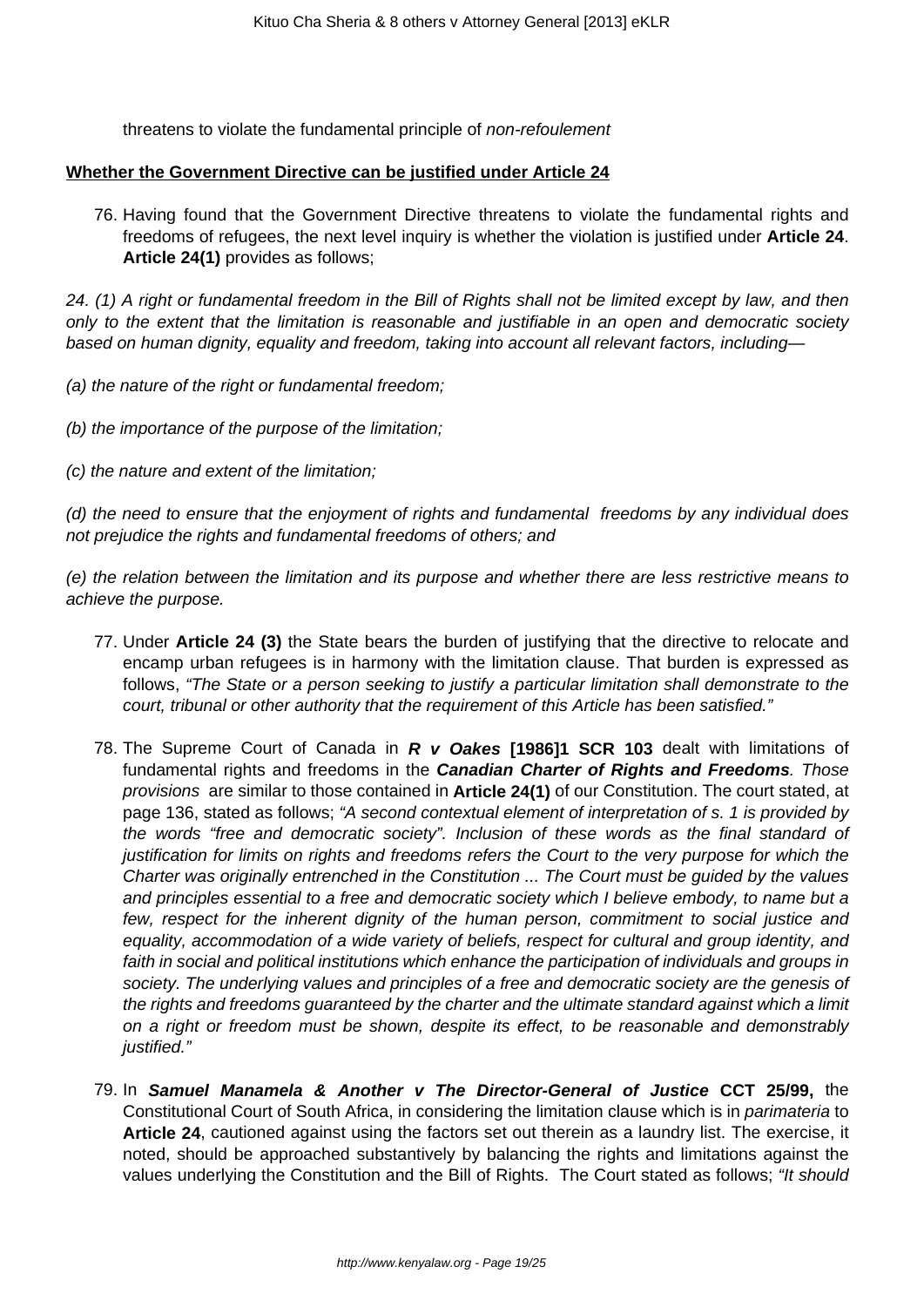threatens to violate the fundamental principle of non-refoulement

#### **Whether the Government Directive can be justified under Article 24**

76. Having found that the Government Directive threatens to violate the fundamental rights and freedoms of refugees, the next level inquiry is whether the violation is justified under **Article 24**. **Article 24(1)** provides as follows;

24. (1) A right or fundamental freedom in the Bill of Rights shall not be limited except by law, and then only to the extent that the limitation is reasonable and justifiable in an open and democratic society based on human dignity, equality and freedom, taking into account all relevant factors, including—

- (a) the nature of the right or fundamental freedom;
- (b) the importance of the purpose of the limitation;
- (c) the nature and extent of the limitation;

(d) the need to ensure that the enjoyment of rights and fundamental freedoms by any individual does not prejudice the rights and fundamental freedoms of others; and

(e) the relation between the limitation and its purpose and whether there are less restrictive means to achieve the purpose.

- 77. Under **Article 24 (3)** the State bears the burden of justifying that the directive to relocate and encamp urban refugees is in harmony with the limitation clause. That burden is expressed as follows, "The State or a person seeking to justify a particular limitation shall demonstrate to the court, tribunal or other authority that the requirement of this Article has been satisfied."
- 78. The Supreme Court of Canada in **R v Oakes [1986]1 SCR 103** dealt with limitations of fundamental rights and freedoms in the **Canadian Charter of Rights and Freedoms**. Those provisions are similar to those contained in **Article 24(1)** of our Constitution. The court stated, at page 136, stated as follows; "A second contextual element of interpretation of s. 1 is provided by the words "free and democratic society". Inclusion of these words as the final standard of justification for limits on rights and freedoms refers the Court to the very purpose for which the Charter was originally entrenched in the Constitution ... The Court must be guided by the values and principles essential to a free and democratic society which I believe embody, to name but a few, respect for the inherent dignity of the human person, commitment to social justice and equality, accommodation of a wide variety of beliefs, respect for cultural and group identity, and faith in social and political institutions which enhance the participation of individuals and groups in society. The underlying values and principles of a free and democratic society are the genesis of the rights and freedoms guaranteed by the charter and the ultimate standard against which a limit on a right or freedom must be shown, despite its effect, to be reasonable and demonstrably justified."
- 79. In **Samuel Manamela & Another v The Director-General of Justice CCT 25/99,** the Constitutional Court of South Africa, in considering the limitation clause which is in parimateria to **Article 24**, cautioned against using the factors set out therein as a laundry list. The exercise, it noted, should be approached substantively by balancing the rights and limitations against the values underlying the Constitution and the Bill of Rights. The Court stated as follows; "It should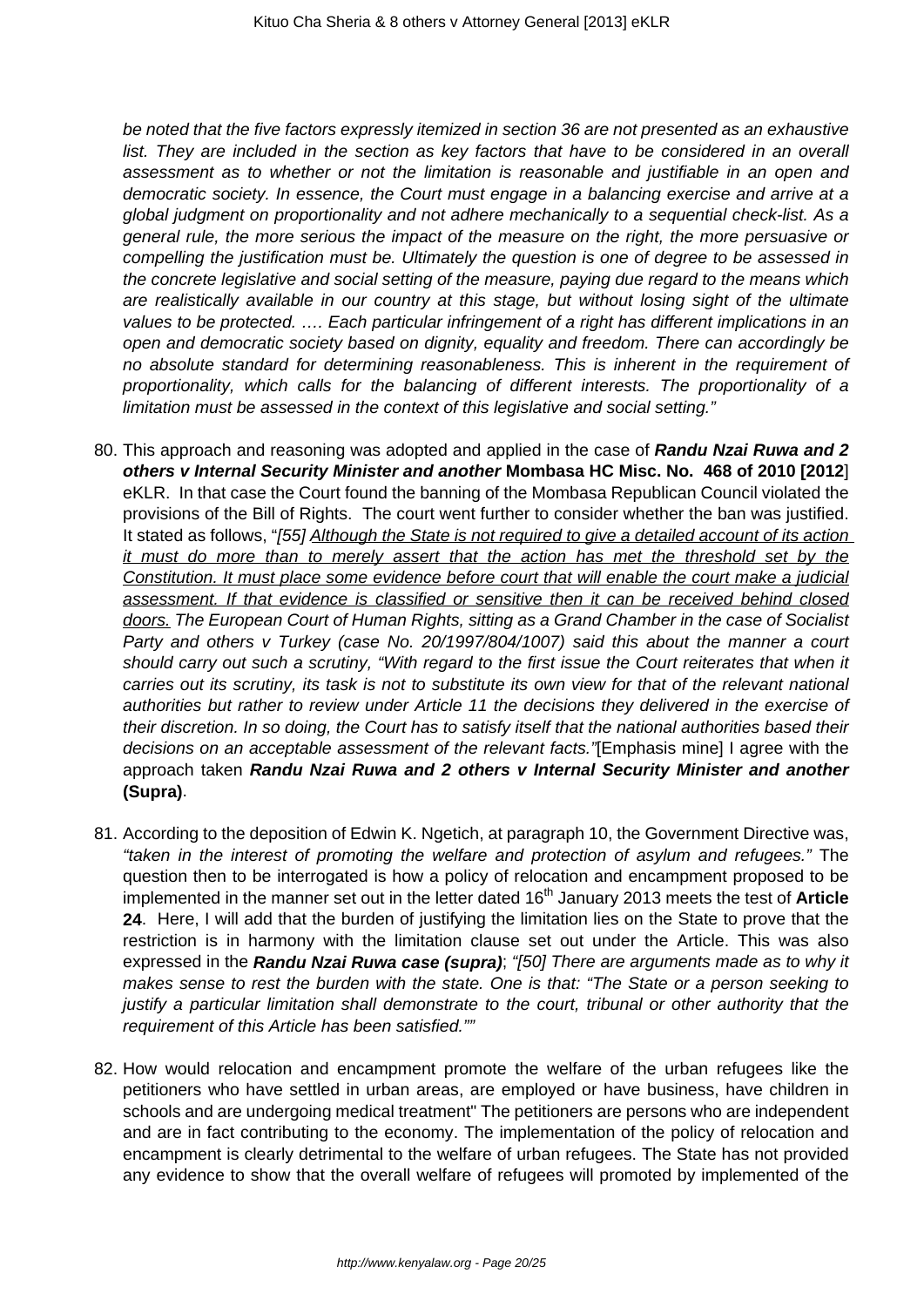be noted that the five factors expressly itemized in section 36 are not presented as an exhaustive list. They are included in the section as key factors that have to be considered in an overall assessment as to whether or not the limitation is reasonable and justifiable in an open and democratic society. In essence, the Court must engage in a balancing exercise and arrive at a global judgment on proportionality and not adhere mechanically to a sequential check-list. As a general rule, the more serious the impact of the measure on the right, the more persuasive or compelling the justification must be. Ultimately the question is one of degree to be assessed in the concrete legislative and social setting of the measure, paying due regard to the means which are realistically available in our country at this stage, but without losing sight of the ultimate values to be protected. …. Each particular infringement of a right has different implications in an open and democratic society based on dignity, equality and freedom. There can accordingly be no absolute standard for determining reasonableness. This is inherent in the requirement of proportionality, which calls for the balancing of different interests. The proportionality of a limitation must be assessed in the context of this legislative and social setting."

- 80. This approach and reasoning was adopted and applied in the case of **Randu Nzai Ruwa and 2 others v Internal Security Minister and another Mombasa HC Misc. No. 468 of 2010 [2012**] eKLR. In that case the Court found the banning of the Mombasa Republican Council violated the provisions of the Bill of Rights. The court went further to consider whether the ban was justified. It stated as follows, "[55] Although the State is not required to give a detailed account of its action it must do more than to merely assert that the action has met the threshold set by the Constitution. It must place some evidence before court that will enable the court make a judicial assessment. If that evidence is classified or sensitive then it can be received behind closed doors. The European Court of Human Rights, sitting as a Grand Chamber in the case of Socialist Party and others v Turkey (case No. 20/1997/804/1007) said this about the manner a court should carry out such a scrutiny, "With regard to the first issue the Court reiterates that when it carries out its scrutiny, its task is not to substitute its own view for that of the relevant national authorities but rather to review under Article 11 the decisions they delivered in the exercise of their discretion. In so doing, the Court has to satisfy itself that the national authorities based their decisions on an acceptable assessment of the relevant facts."[Emphasis mine] I agree with the approach taken **Randu Nzai Ruwa and 2 others v Internal Security Minister and another (Supra)**.
- 81. According to the deposition of Edwin K. Ngetich, at paragraph 10, the Government Directive was, "taken in the interest of promoting the welfare and protection of asylum and refugees." The question then to be interrogated is how a policy of relocation and encampment proposed to be implemented in the manner set out in the letter dated 16<sup>th</sup> January 2013 meets the test of **Article 24**. Here, I will add that the burden of justifying the limitation lies on the State to prove that the restriction is in harmony with the limitation clause set out under the Article. This was also expressed in the **Randu Nzai Ruwa case (supra)**; "[50] There are arguments made as to why it makes sense to rest the burden with the state. One is that: "The State or a person seeking to justify a particular limitation shall demonstrate to the court, tribunal or other authority that the requirement of this Article has been satisfied.""
- 82. How would relocation and encampment promote the welfare of the urban refugees like the petitioners who have settled in urban areas, are employed or have business, have children in schools and are undergoing medical treatment" The petitioners are persons who are independent and are in fact contributing to the economy. The implementation of the policy of relocation and encampment is clearly detrimental to the welfare of urban refugees. The State has not provided any evidence to show that the overall welfare of refugees will promoted by implemented of the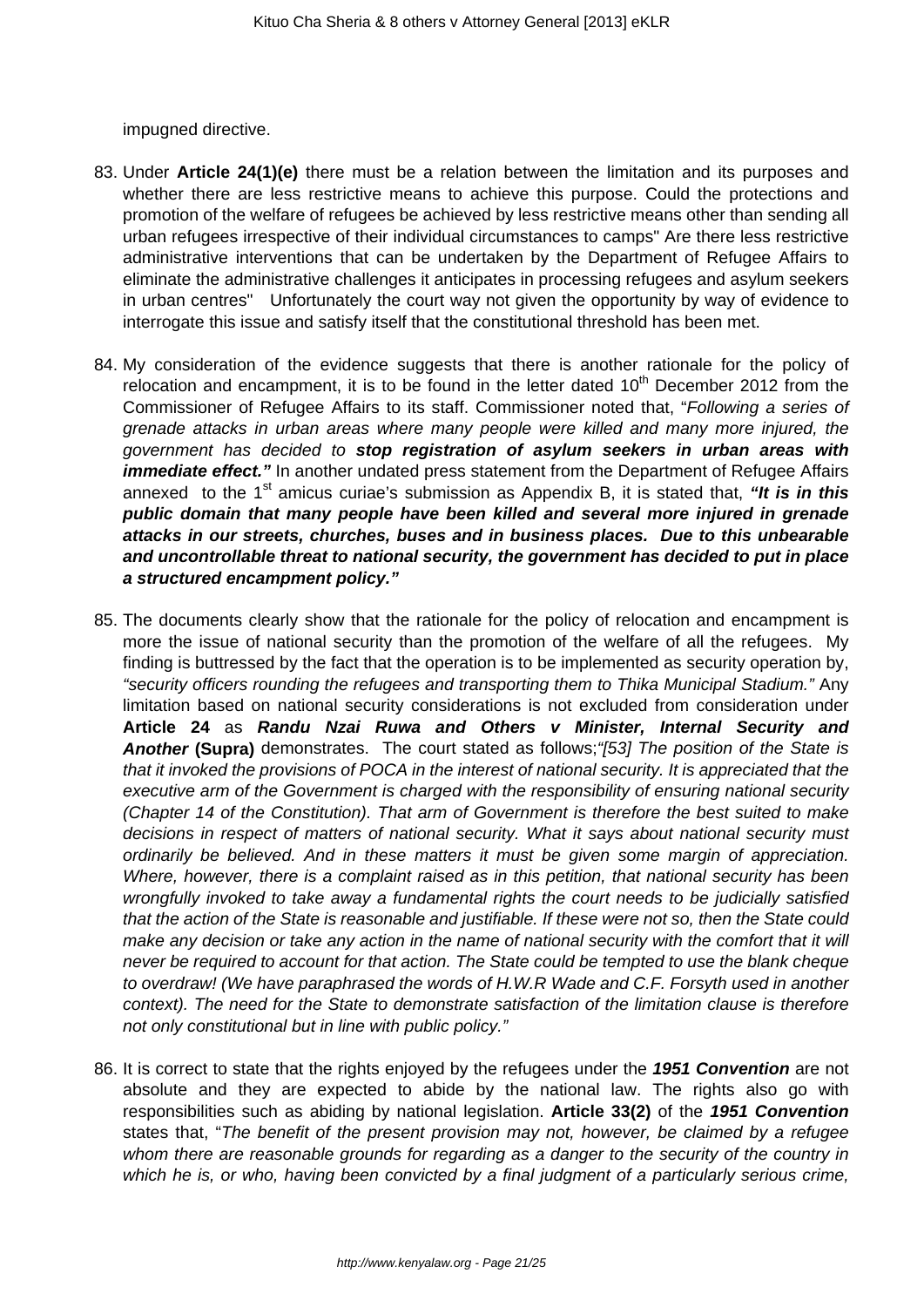impugned directive.

- 83. Under **Article 24(1)(e)** there must be a relation between the limitation and its purposes and whether there are less restrictive means to achieve this purpose. Could the protections and promotion of the welfare of refugees be achieved by less restrictive means other than sending all urban refugees irrespective of their individual circumstances to camps" Are there less restrictive administrative interventions that can be undertaken by the Department of Refugee Affairs to eliminate the administrative challenges it anticipates in processing refugees and asylum seekers in urban centres" Unfortunately the court way not given the opportunity by way of evidence to interrogate this issue and satisfy itself that the constitutional threshold has been met.
- 84. My consideration of the evidence suggests that there is another rationale for the policy of relocation and encampment, it is to be found in the letter dated  $10<sup>th</sup>$  December 2012 from the Commissioner of Refugee Affairs to its staff. Commissioner noted that, "Following a series of grenade attacks in urban areas where many people were killed and many more injured, the government has decided to **stop registration of asylum seekers in urban areas with** *immediate effect.* " In another undated press statement from the Department of Refugee Affairs annexed to the 1<sup>st</sup> amicus curiae's submission as Appendix B, it is stated that, "It is in this **public domain that many people have been killed and several more injured in grenade attacks in our streets, churches, buses and in business places. Due to this unbearable and uncontrollable threat to national security, the government has decided to put in place a structured encampment policy."**
- 85. The documents clearly show that the rationale for the policy of relocation and encampment is more the issue of national security than the promotion of the welfare of all the refugees. My finding is buttressed by the fact that the operation is to be implemented as security operation by, "security officers rounding the refugees and transporting them to Thika Municipal Stadium." Any limitation based on national security considerations is not excluded from consideration under **Article 24** as **Randu Nzai Ruwa and Others v Minister, Internal Security and Another (Supra)** demonstrates. The court stated as follows;"[53] The position of the State is that it invoked the provisions of POCA in the interest of national security. It is appreciated that the executive arm of the Government is charged with the responsibility of ensuring national security (Chapter 14 of the Constitution). That arm of Government is therefore the best suited to make decisions in respect of matters of national security. What it says about national security must ordinarily be believed. And in these matters it must be given some margin of appreciation. Where, however, there is a complaint raised as in this petition, that national security has been wrongfully invoked to take away a fundamental rights the court needs to be judicially satisfied that the action of the State is reasonable and justifiable. If these were not so, then the State could make any decision or take any action in the name of national security with the comfort that it will never be required to account for that action. The State could be tempted to use the blank cheque to overdraw! (We have paraphrased the words of H.W.R Wade and C.F. Forsyth used in another context). The need for the State to demonstrate satisfaction of the limitation clause is therefore not only constitutional but in line with public policy."
- 86. It is correct to state that the rights enjoyed by the refugees under the **1951 Convention** are not absolute and they are expected to abide by the national law. The rights also go with responsibilities such as abiding by national legislation. **Article 33(2)** of the **1951 Convention** states that, "The benefit of the present provision may not, however, be claimed by a refugee whom there are reasonable grounds for regarding as a danger to the security of the country in which he is, or who, having been convicted by a final judgment of a particularly serious crime,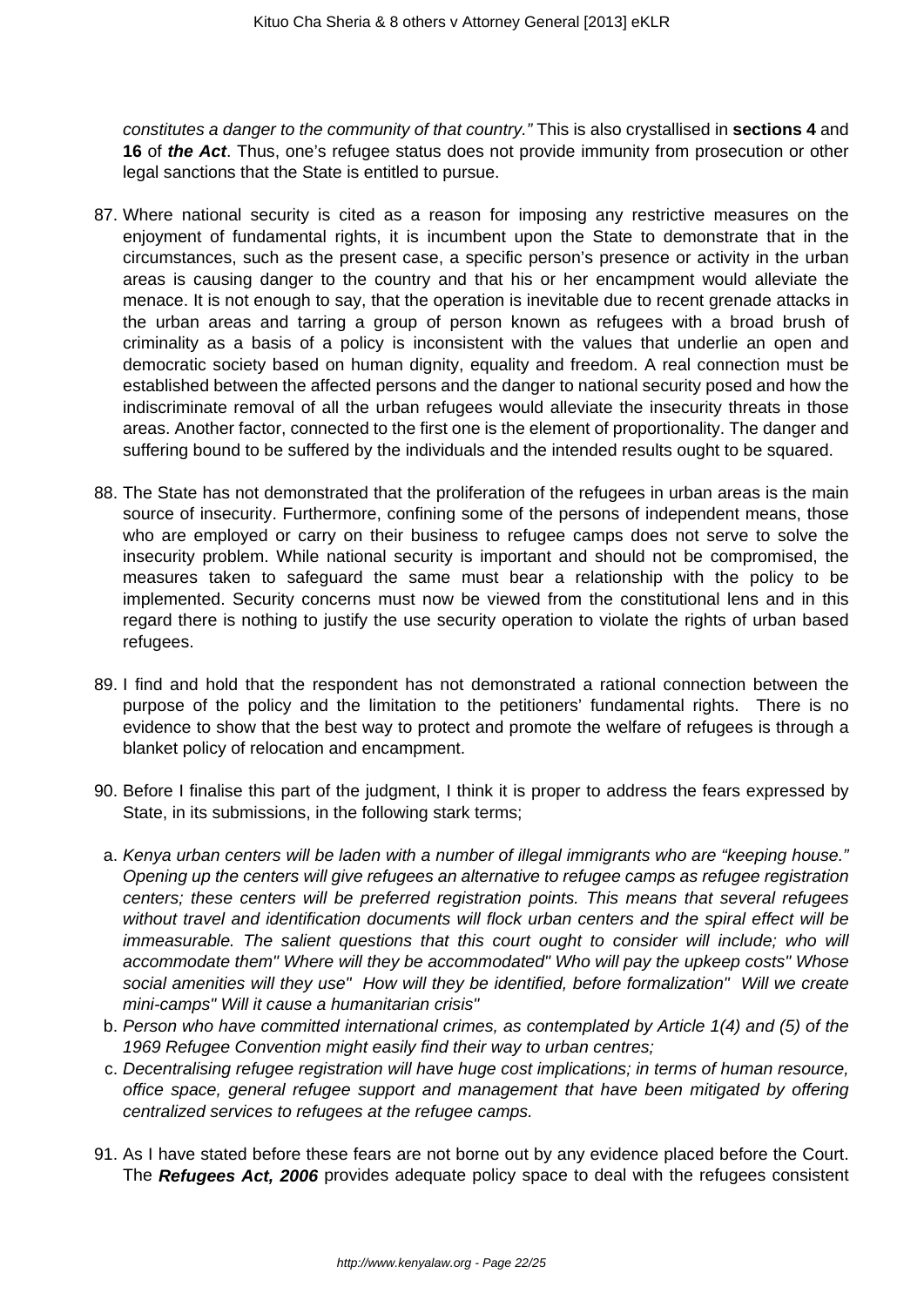constitutes a danger to the community of that country." This is also crystallised in **sections 4** and **16** of **the Act**. Thus, one's refugee status does not provide immunity from prosecution or other legal sanctions that the State is entitled to pursue.

- 87. Where national security is cited as a reason for imposing any restrictive measures on the enjoyment of fundamental rights, it is incumbent upon the State to demonstrate that in the circumstances, such as the present case, a specific person's presence or activity in the urban areas is causing danger to the country and that his or her encampment would alleviate the menace. It is not enough to say, that the operation is inevitable due to recent grenade attacks in the urban areas and tarring a group of person known as refugees with a broad brush of criminality as a basis of a policy is inconsistent with the values that underlie an open and democratic society based on human dignity, equality and freedom. A real connection must be established between the affected persons and the danger to national security posed and how the indiscriminate removal of all the urban refugees would alleviate the insecurity threats in those areas. Another factor, connected to the first one is the element of proportionality. The danger and suffering bound to be suffered by the individuals and the intended results ought to be squared.
- 88. The State has not demonstrated that the proliferation of the refugees in urban areas is the main source of insecurity. Furthermore, confining some of the persons of independent means, those who are employed or carry on their business to refugee camps does not serve to solve the insecurity problem. While national security is important and should not be compromised, the measures taken to safeguard the same must bear a relationship with the policy to be implemented. Security concerns must now be viewed from the constitutional lens and in this regard there is nothing to justify the use security operation to violate the rights of urban based refugees.
- 89. I find and hold that the respondent has not demonstrated a rational connection between the purpose of the policy and the limitation to the petitioners' fundamental rights. There is no evidence to show that the best way to protect and promote the welfare of refugees is through a blanket policy of relocation and encampment.
- 90. Before I finalise this part of the judgment, I think it is proper to address the fears expressed by State, in its submissions, in the following stark terms;
- a. Kenya urban centers will be laden with a number of illegal immigrants who are "keeping house." Opening up the centers will give refugees an alternative to refugee camps as refugee registration centers; these centers will be preferred registration points. This means that several refugees without travel and identification documents will flock urban centers and the spiral effect will be immeasurable. The salient questions that this court ought to consider will include; who will accommodate them" Where will they be accommodated" Who will pay the upkeep costs" Whose social amenities will they use" How will they be identified, before formalization" Will we create mini-camps" Will it cause a humanitarian crisis"
- b. Person who have committed international crimes, as contemplated by Article 1(4) and (5) of the 1969 Refugee Convention might easily find their way to urban centres;
- c. Decentralising refugee registration will have huge cost implications; in terms of human resource, office space, general refugee support and management that have been mitigated by offering centralized services to refugees at the refugee camps.
- 91. As I have stated before these fears are not borne out by any evidence placed before the Court. The **Refugees Act, 2006** provides adequate policy space to deal with the refugees consistent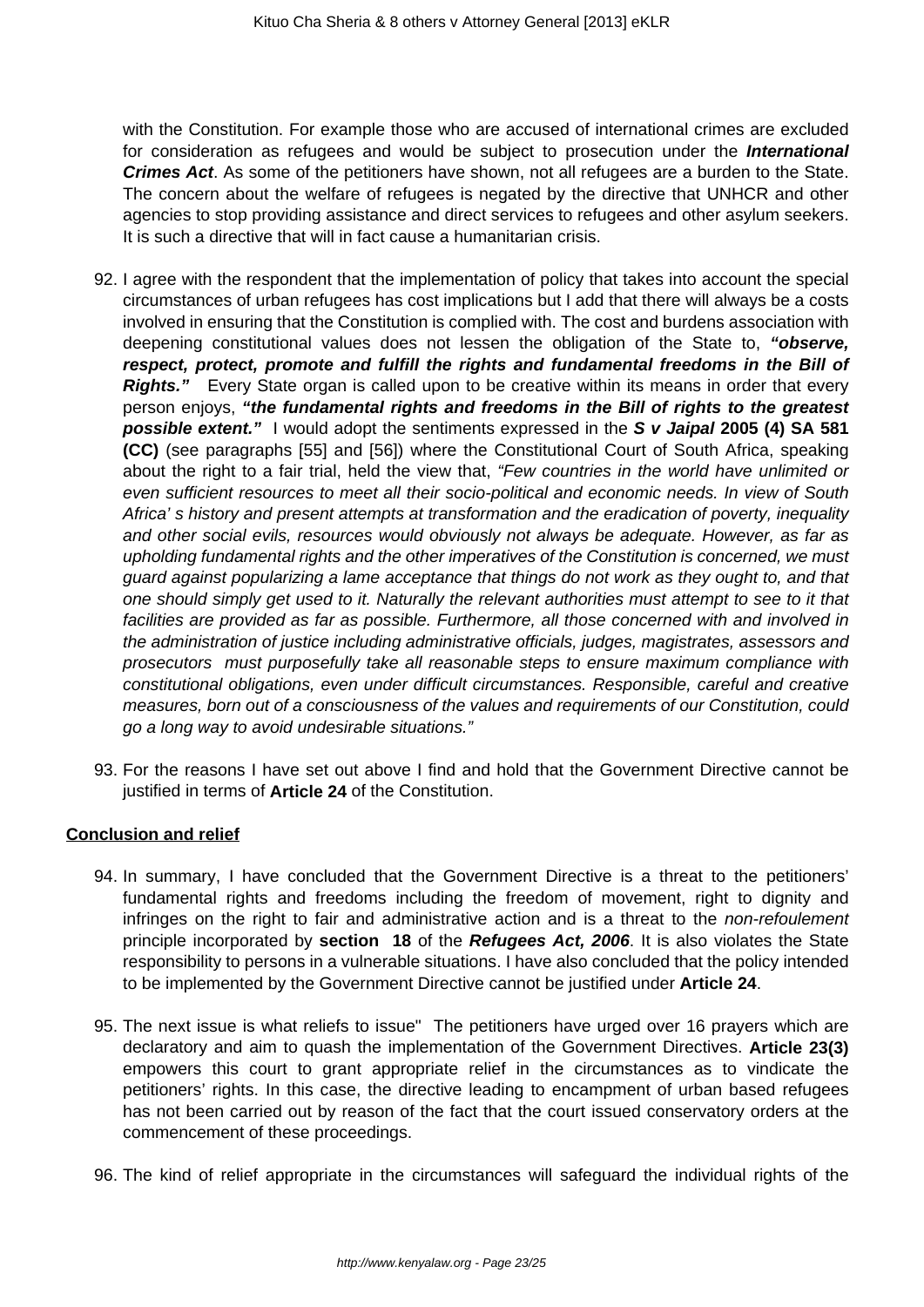with the Constitution. For example those who are accused of international crimes are excluded for consideration as refugees and would be subject to prosecution under the **International Crimes Act**. As some of the petitioners have shown, not all refugees are a burden to the State. The concern about the welfare of refugees is negated by the directive that UNHCR and other agencies to stop providing assistance and direct services to refugees and other asylum seekers. It is such a directive that will in fact cause a humanitarian crisis.

- 92. I agree with the respondent that the implementation of policy that takes into account the special circumstances of urban refugees has cost implications but I add that there will always be a costs involved in ensuring that the Constitution is complied with. The cost and burdens association with deepening constitutional values does not lessen the obligation of the State to, **"observe, respect, protect, promote and fulfill the rights and fundamental freedoms in the Bill of Rights."** Every State organ is called upon to be creative within its means in order that every person enjoys, **"the fundamental rights and freedoms in the Bill of rights to the greatest possible extent."** I would adopt the sentiments expressed in the **S v Jaipal 2005 (4) SA 581 (CC)** (see paragraphs [55] and [56]) where the Constitutional Court of South Africa, speaking about the right to a fair trial, held the view that, "Few countries in the world have unlimited or even sufficient resources to meet all their socio-political and economic needs. In view of South Africa' s history and present attempts at transformation and the eradication of poverty, inequality and other social evils, resources would obviously not always be adequate. However, as far as upholding fundamental rights and the other imperatives of the Constitution is concerned, we must guard against popularizing a lame acceptance that things do not work as they ought to, and that one should simply get used to it. Naturally the relevant authorities must attempt to see to it that facilities are provided as far as possible. Furthermore, all those concerned with and involved in the administration of justice including administrative officials, judges, magistrates, assessors and prosecutors must purposefully take all reasonable steps to ensure maximum compliance with constitutional obligations, even under difficult circumstances. Responsible, careful and creative measures, born out of a consciousness of the values and requirements of our Constitution, could go a long way to avoid undesirable situations."
- 93. For the reasons I have set out above I find and hold that the Government Directive cannot be justified in terms of **Article 24** of the Constitution.

### **Conclusion and relief**

- 94. In summary, I have concluded that the Government Directive is a threat to the petitioners' fundamental rights and freedoms including the freedom of movement, right to dignity and infringes on the right to fair and administrative action and is a threat to the non-refoulement principle incorporated by **section 18** of the **Refugees Act, 2006**. It is also violates the State responsibility to persons in a vulnerable situations. I have also concluded that the policy intended to be implemented by the Government Directive cannot be justified under **Article 24**.
- 95. The next issue is what reliefs to issue" The petitioners have urged over 16 prayers which are declaratory and aim to quash the implementation of the Government Directives. **Article 23(3)** empowers this court to grant appropriate relief in the circumstances as to vindicate the petitioners' rights. In this case, the directive leading to encampment of urban based refugees has not been carried out by reason of the fact that the court issued conservatory orders at the commencement of these proceedings.
- 96. The kind of relief appropriate in the circumstances will safeguard the individual rights of the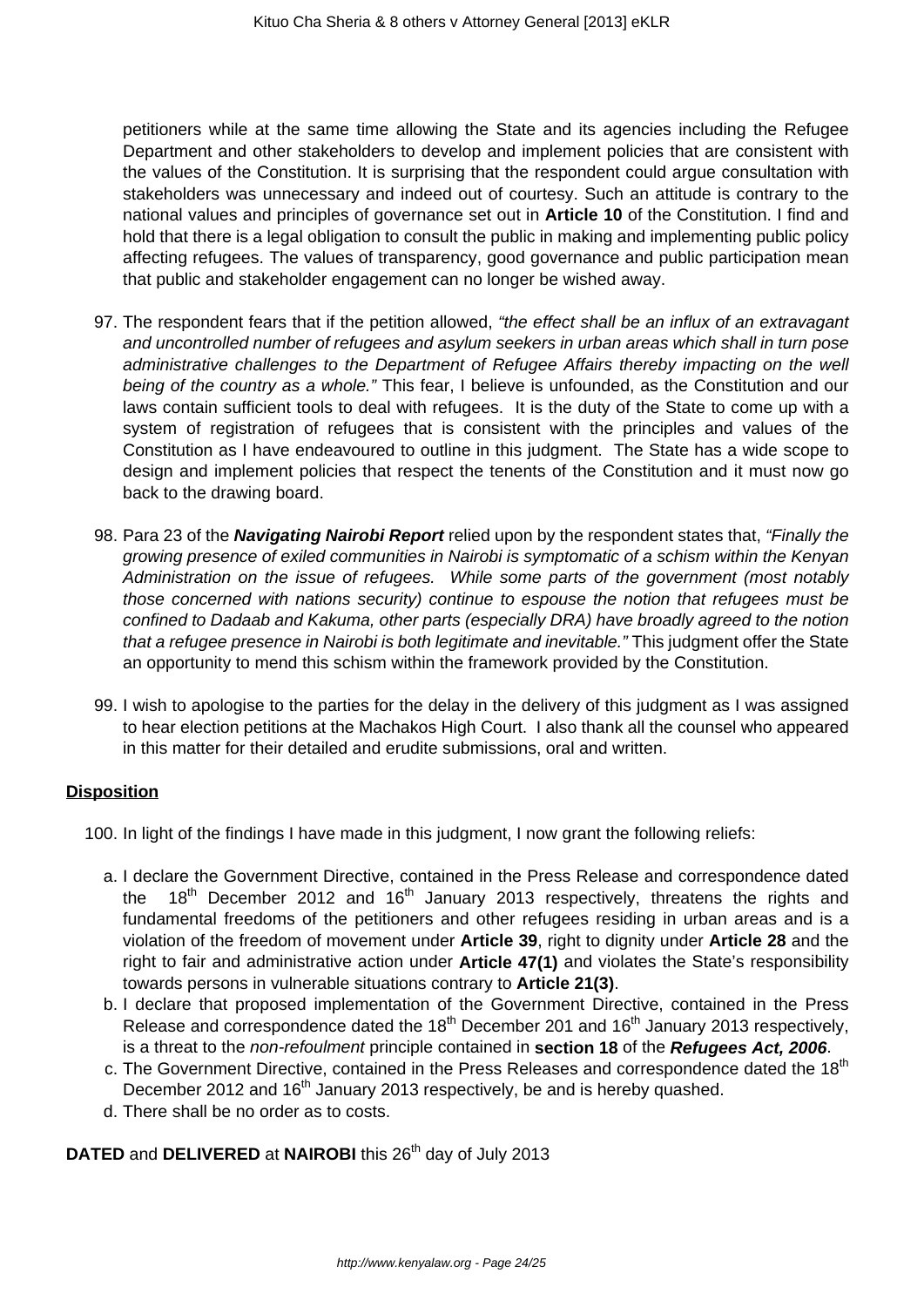petitioners while at the same time allowing the State and its agencies including the Refugee Department and other stakeholders to develop and implement policies that are consistent with the values of the Constitution. It is surprising that the respondent could argue consultation with stakeholders was unnecessary and indeed out of courtesy. Such an attitude is contrary to the national values and principles of governance set out in **Article 10** of the Constitution. I find and hold that there is a legal obligation to consult the public in making and implementing public policy affecting refugees. The values of transparency, good governance and public participation mean that public and stakeholder engagement can no longer be wished away.

- 97. The respondent fears that if the petition allowed, "the effect shall be an influx of an extravagant and uncontrolled number of refugees and asylum seekers in urban areas which shall in turn pose administrative challenges to the Department of Refugee Affairs thereby impacting on the well being of the country as a whole." This fear, I believe is unfounded, as the Constitution and our laws contain sufficient tools to deal with refugees. It is the duty of the State to come up with a system of registration of refugees that is consistent with the principles and values of the Constitution as I have endeavoured to outline in this judgment. The State has a wide scope to design and implement policies that respect the tenents of the Constitution and it must now go back to the drawing board.
- 98. Para 23 of the **Navigating Nairobi Report** relied upon by the respondent states that, "Finally the growing presence of exiled communities in Nairobi is symptomatic of a schism within the Kenyan Administration on the issue of refugees. While some parts of the government (most notably those concerned with nations security) continue to espouse the notion that refugees must be confined to Dadaab and Kakuma, other parts (especially DRA) have broadly agreed to the notion that a refugee presence in Nairobi is both legitimate and inevitable." This judgment offer the State an opportunity to mend this schism within the framework provided by the Constitution.
- 99. I wish to apologise to the parties for the delay in the delivery of this judgment as I was assigned to hear election petitions at the Machakos High Court. I also thank all the counsel who appeared in this matter for their detailed and erudite submissions, oral and written.

### **Disposition**

- 100. In light of the findings I have made in this judgment, I now grant the following reliefs:
	- a. I declare the Government Directive, contained in the Press Release and correspondence dated the 18th December 2012 and 16th January 2013 respectively, threatens the rights and fundamental freedoms of the petitioners and other refugees residing in urban areas and is a violation of the freedom of movement under **Article 39**, right to dignity under **Article 28** and the right to fair and administrative action under **Article 47(1)** and violates the State's responsibility towards persons in vulnerable situations contrary to **Article 21(3)**.
	- b. I declare that proposed implementation of the Government Directive, contained in the Press Release and correspondence dated the  $18<sup>th</sup>$  December 201 and  $16<sup>th</sup>$  January 2013 respectively, is a threat to the non-refoulment principle contained in **section 18** of the **Refugees Act, 2006**.
	- c. The Government Directive, contained in the Press Releases and correspondence dated the 18<sup>th</sup> December 2012 and 16<sup>th</sup> January 2013 respectively, be and is hereby quashed.
	- d. There shall be no order as to costs.

# **DATED** and **DELIVERED** at **NAIROBI** this 26<sup>th</sup> day of July 2013